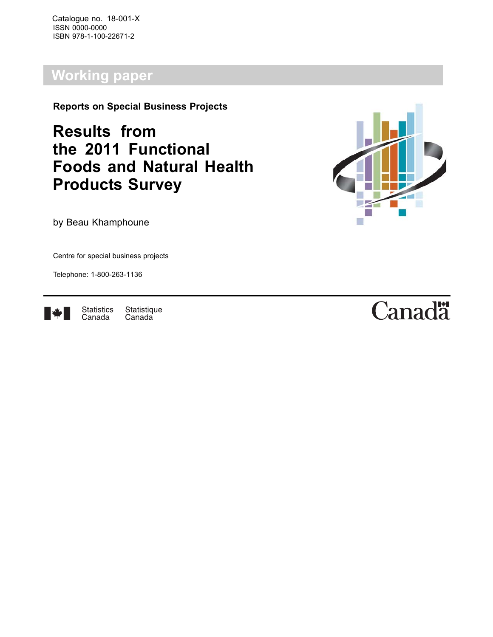Catalogue no. 18-001-X ISSN 0000-0000 ISBN 978-1-100-22671-2

# **Working paper**

**Reports on Special Business Projects**

**Results from the 2011 Functional Foods and Natural Health Products Survey**



by Beau Khamphoune

Centre for special business projects

Telephone: 1-800-263-1136



**Statistics** Statistique Canada Canada

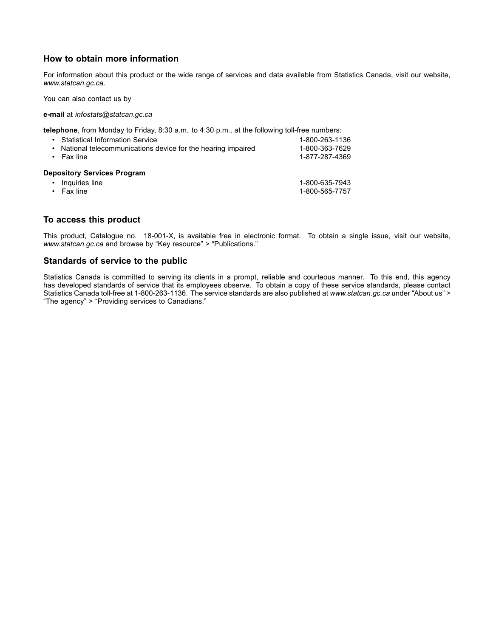### **How to obtain more information**

For information about this product or the wide range of services and data available from Statistics Canada, visit our website, *www.statcan.gc.ca*.

You can also contact us by

**e-mail** at *infostats@statcan.gc.ca*

**telephone**, from Monday to Friday, 8:30 a.m. to 4:30 p.m., at the following toll-free numbers:

| <b>Statistical Information Service</b><br>National telecommunications device for the hearing impaired<br>$\bullet$<br>Fax line | 1-800-263-1136<br>1-800-363-7629<br>1-877-287-4369 |
|--------------------------------------------------------------------------------------------------------------------------------|----------------------------------------------------|
| <b>Depository Services Program</b>                                                                                             |                                                    |
| Inquiries line<br>٠                                                                                                            | 1-800-635-7943                                     |
| Fax line                                                                                                                       | 1-800-565-7757                                     |

### **To access this product**

This product, Catalogue no. 18-001-X, is available free in electronic format. To obtain a single issue, visit our website, *www.statcan.gc.ca* and browse by "Key resource" > "Publications."

### **Standards of service to the public**

Statistics Canada is committed to serving its clients in a prompt, reliable and courteous manner. To this end, this agency has developed standards of service that its employees observe. To obtain a copy of these service standards, please contact Statistics Canada toll-free at 1-800-263-1136. The service standards are also published at *www.statcan.gc.ca* under "About us" > "The agency" > "Providing services to Canadians."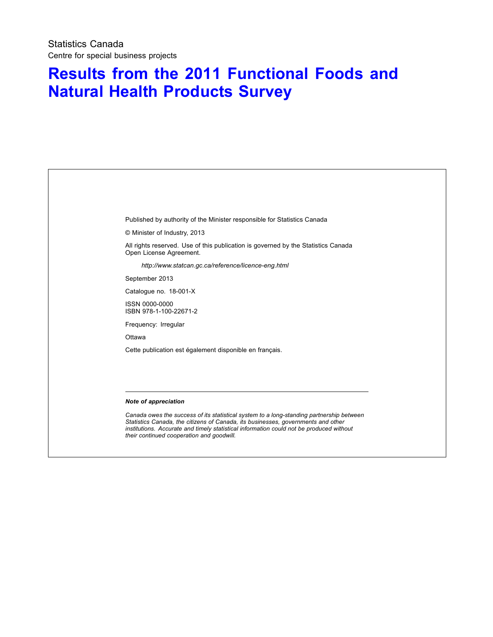# **Results from the 2011 Functional Foods and Natural Health Products Survey**

Published by authority of the Minister responsible for Statistics Canada

© Minister of Industry, 2013

All rights reserved. Use of this publication is governed by the Statistics Canada Open License Agreement.

*http://www.statcan.gc.ca/reference/licence-eng.html*

September 2013

Catalogue no. 18-001-X

ISSN 0000-0000 ISBN 978-1-100-22671-2

Frequency: Irregular

**Ottawa** 

Cette publication est également disponible en français.

#### *Note of appreciation*

*Canada owes the success of its statistical system to a long-standing partnership between Statistics Canada, the citizens of Canada, its businesses, governments and other institutions. Accurate and timely statistical information could not be produced without their continued cooperation and goodwill.*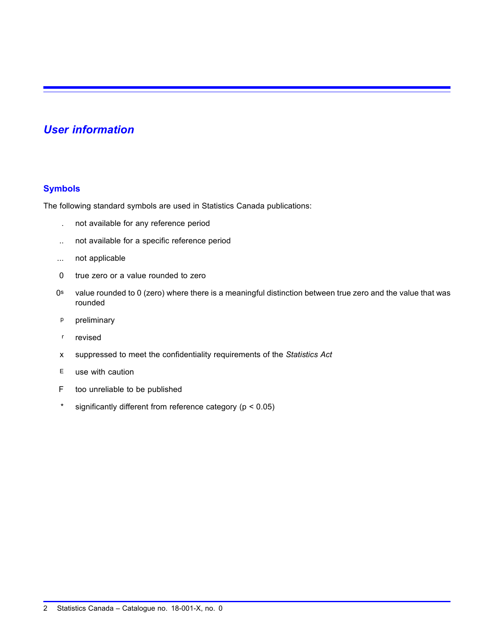## *User information*

### **Symbols**

The following standard symbols are used in Statistics Canada publications:

- . not available for any reference period
- .. not available for a specific reference period
- ... not applicable
- 0 true zero or a value rounded to zero
- 0<sup>s</sup> value rounded to 0 (zero) where there is a meaningful distinction between true zero and the value that was rounded
- p preliminary
- r revised
- x suppressed to meet the confidentiality requirements of the *Statistics Act*
- E use with caution
- F too unreliable to be published
- \* significantly different from reference category (p < 0.05)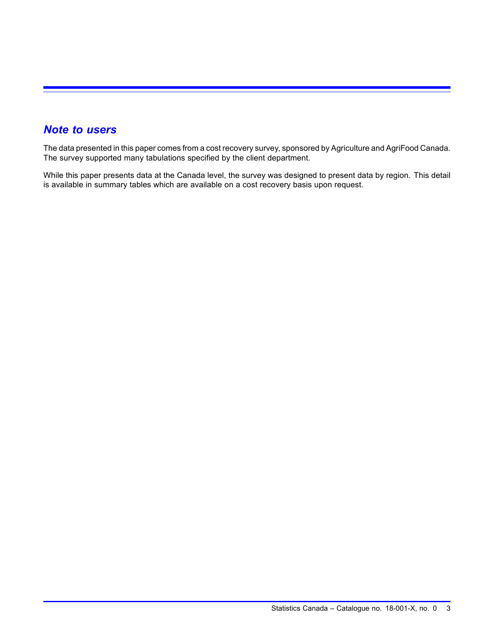## *Note to users*

The data presented in this paper comes from a cost recovery survey, sponsored by Agriculture and AgriFood Canada. The survey supported many tabulations specified by the client department.

While this paper presents data at the Canada level, the survey was designed to present data by region. This detail is available in summary tables which are available on a cost recovery basis upon request.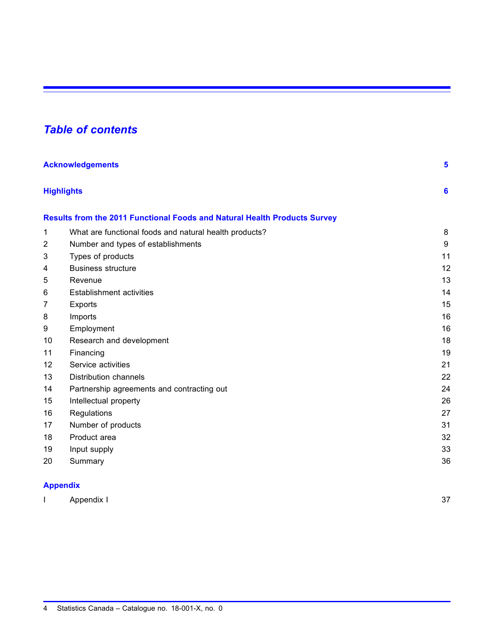# *Table of contents*

|    | <b>Acknowledgements</b>                                                          |    |  |
|----|----------------------------------------------------------------------------------|----|--|
|    | <b>Highlights</b>                                                                | 6  |  |
|    | <b>Results from the 2011 Functional Foods and Natural Health Products Survey</b> |    |  |
| 1  | What are functional foods and natural health products?                           | 8  |  |
| 2  | Number and types of establishments                                               | 9  |  |
| 3  | Types of products                                                                | 11 |  |
| 4  | <b>Business structure</b>                                                        | 12 |  |
| 5  | Revenue                                                                          | 13 |  |
| 6  | <b>Establishment activities</b>                                                  | 14 |  |
| 7  | <b>Exports</b>                                                                   | 15 |  |
| 8  | Imports                                                                          | 16 |  |
| 9  | Employment                                                                       | 16 |  |
| 10 | Research and development                                                         | 18 |  |
| 11 | Financing                                                                        | 19 |  |
| 12 | Service activities                                                               | 21 |  |
| 13 | <b>Distribution channels</b>                                                     | 22 |  |
| 14 | Partnership agreements and contracting out                                       | 24 |  |
| 15 | Intellectual property                                                            | 26 |  |
| 16 | Regulations                                                                      | 27 |  |
| 17 | Number of products                                                               | 31 |  |
| 18 | Product area                                                                     | 32 |  |
| 19 | Input supply                                                                     | 33 |  |
| 20 | Summary                                                                          | 36 |  |

### **[Appendix](#page-38-0)**

| $\sim$<br>7۵ |
|--------------|
|              |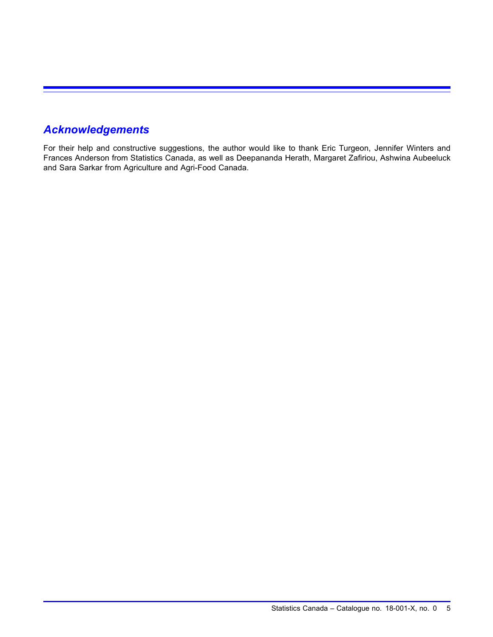# <span id="page-6-0"></span>*Acknowledgements*

For their help and constructive suggestions, the author would like to thank Eric Turgeon, Jennifer Winters and Frances Anderson from Statistics Canada, as well as Deepananda Herath, Margaret Zafiriou, Ashwina Aubeeluck and Sara Sarkar from Agriculture and Agri-Food Canada.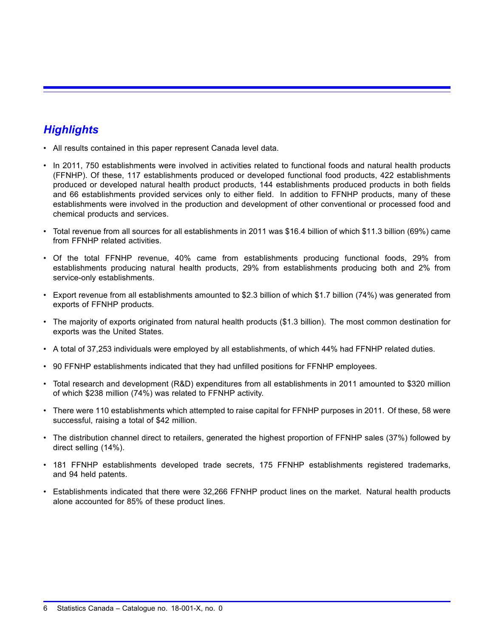# <span id="page-7-0"></span>*Highlights*

- All results contained in this paper represent Canada level data.
- In 2011, 750 establishments were involved in activities related to functional foods and natural health products (FFNHP). Of these, 117 establishments produced or developed functional food products, 422 establishments produced or developed natural health product products, 144 establishments produced products in both fields and 66 establishments provided services only to either field. In addition to FFNHP products, many of these establishments were involved in the production and development of other conventional or processed food and chemical products and services.
- Total revenue from all sources for all establishments in 2011 was \$16.4 billion of which \$11.3 billion (69%) came from FFNHP related activities.
- Of the total FFNHP revenue, 40% came from establishments producing functional foods, 29% from establishments producing natural health products, 29% from establishments producing both and 2% from service-only establishments.
- Export revenue from all establishments amounted to \$2.3 billion of which \$1.7 billion (74%) was generated from exports of FFNHP products.
- The majority of exports originated from natural health products (\$1.3 billion). The most common destination for exports was the United States.
- A total of 37,253 individuals were employed by all establishments, of which 44% had FFNHP related duties.
- 90 FFNHP establishments indicated that they had unfilled positions for FFNHP employees.
- Total research and development (R&D) expenditures from all establishments in 2011 amounted to \$320 million of which \$238 million (74%) was related to FFNHP activity.
- There were 110 establishments which attempted to raise capital for FFNHP purposes in 2011. Of these, 58 were successful, raising a total of \$42 million.
- The distribution channel direct to retailers, generated the highest proportion of FFNHP sales (37%) followed by direct selling (14%).
- 181 FFNHP establishments developed trade secrets, 175 FFNHP establishments registered trademarks, and 94 held patents.
- Establishments indicated that there were 32,266 FFNHP product lines on the market. Natural health products alone accounted for 85% of these product lines.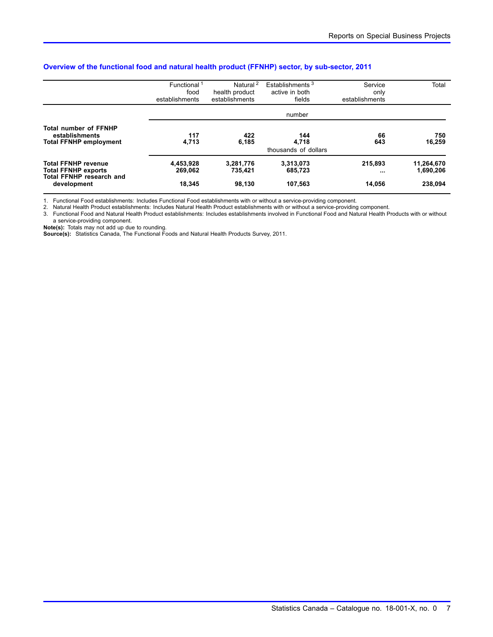|                                                                                             | Functional <sup>1</sup><br>food<br>establishments | Natural <sup>2</sup><br>health product<br>establishments | Establishments <sup>3</sup><br>active in both<br>fields | Service<br>only<br>establishments | Total                   |
|---------------------------------------------------------------------------------------------|---------------------------------------------------|----------------------------------------------------------|---------------------------------------------------------|-----------------------------------|-------------------------|
|                                                                                             |                                                   |                                                          | number                                                  |                                   |                         |
| <b>Total number of FFNHP</b><br>establishments<br><b>Total FFNHP employment</b>             | 117<br>4,713                                      | 422<br>6.185                                             | 144<br>4.718<br>thousands of dollars                    | 66<br>643                         | 750<br>16,259           |
| <b>Total FFNHP revenue</b><br><b>Total FFNHP exports</b><br><b>Total FFNHP research and</b> | 4,453,928<br>269,062                              | 3,281,776<br>735.421                                     | 3,313,073<br>685,723                                    | 215.893<br>$\cdots$               | 11,264,670<br>1,690,206 |
| development                                                                                 | 18.345                                            | 98,130                                                   | 107,563                                                 | 14.056                            | 238.094                 |

### **Overview of the functional food and natural health product (FFNHP) sector, by sub-sector, 2011**

1. Functional Food establishments: Includes Functional Food establishments with or without a service-providing component.

2. Natural Health Product establishments: Includes Natural Health Product establishments with or without a service-providing component.

3. Functional Food and Natural Health Product establishments: Includes establishments involved in Functional Food and Natural Health Products with or without

a service-providing component. **Note(s):** Totals may not add up due to rounding.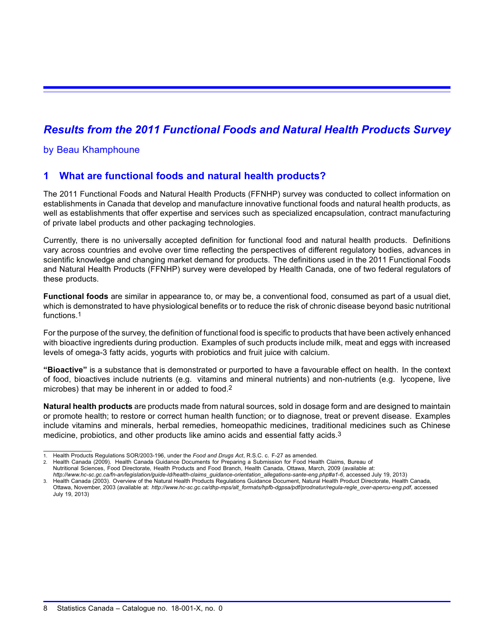# <span id="page-9-0"></span>*Results from the 2011 Functional Foods and Natural Health Products Survey*

### by Beau Khamphoune

### **1 What are functional foods and natural health products?**

The 2011 Functional Foods and Natural Health Products (FFNHP) survey was conducted to collect information on establishments in Canada that develop and manufacture innovative functional foods and natural health products, as well as establishments that offer expertise and services such as specialized encapsulation, contract manufacturing of private label products and other packaging technologies.

Currently, there is no universally accepted definition for functional food and natural health products. Definitions vary across countries and evolve over time reflecting the perspectives of different regulatory bodies, advances in scientific knowledge and changing market demand for products. The definitions used in the 2011 Functional Foods and Natural Health Products (FFNHP) survey were developed by Health Canada, one of two federal regulators of these products.

**Functional foods** are similar in appearance to, or may be, a conventional food, consumed as part of a usual diet, which is demonstrated to have physiological benefits or to reduce the risk of chronic disease beyond basic nutritional functions.1

For the purpose of the survey, the definition of functional food is specific to products that have been actively enhanced with bioactive ingredients during production. Examples of such products include milk, meat and eggs with increased levels of omega-3 fatty acids, yogurts with probiotics and fruit juice with calcium.

**"Bioactive"** is a substance that is demonstrated or purported to have a favourable effect on health. In the context of food, bioactives include nutrients (e.g. vitamins and mineral nutrients) and non-nutrients (e.g. lycopene, live microbes) that may be inherent in or added to food.2

**Natural health products** are products made from natural sources, sold in dosage form and are designed to maintain or promote health; to restore or correct human health function; or to diagnose, treat or prevent disease. Examples include vitamins and minerals, herbal remedies, homeopathic medicines, traditional medicines such as Chinese medicine, probiotics, and other products like amino acids and essential fatty acids.3

<sup>1.</sup> Health Products Regulations SOR/2003-196, under the *Food and Drugs Act*, R.S.C. c. F-27 as amended.

<sup>2.</sup> Health Canada (2009). Health Canada Guidance Documents for Preparing a Submission for Food Health Claims, Bureau of Nutritional Sciences, Food Directorate, Health Products and Food Branch, Health Canada, Ottawa, March, 2009 (available at:

*http://www.hc-sc.gc.ca/fn-an/legislation/guide-ld/health-claims\_guidance-orientation\_allegations-sante-eng.php#a1-6*, accessed July 19, 2013)

<sup>3.</sup> Health Canada (2003). Overview of the Natural Health Products Regulations Guidance Document, Natural Health Product Directorate, Health Canada, Ottawa, November, 2003 (available at: *http://www.hc-sc.gc.ca/dhp-mps/alt\_formats/hpfb-dgpsa/pdf/prodnatur/regula-regle\_over-apercu-eng.pdf*, accessed July 19, 2013)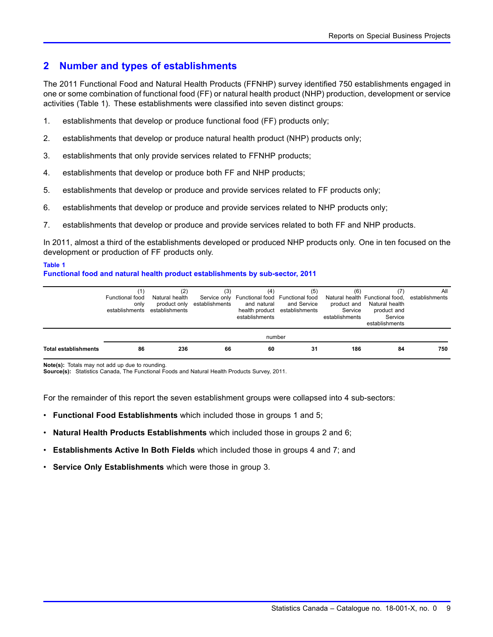### <span id="page-10-0"></span>**2 Number and types of establishments**

The 2011 Functional Food and Natural Health Products (FFNHP) survey identified 750 establishments engaged in one or some combination of functional food (FF) or natural health product (NHP) production, development or service activities (Table 1). These establishments were classified into seven distinct groups:

- 1. establishments that develop or produce functional food (FF) products only;
- 2. establishments that develop or produce natural health product (NHP) products only;
- 3. establishments that only provide services related to FFNHP products;
- 4. establishments that develop or produce both FF and NHP products;
- 5. establishments that develop or produce and provide services related to FF products only;
- 6. establishments that develop or produce and provide services related to NHP products only;
- 7. establishments that develop or produce and provide services related to both FF and NHP products.

In 2011, almost a third of the establishments developed or produced NHP products only. One in ten focused on the development or production of FF products only.

### **Table 1**

### **Functional food and natural health product establishments by sub-sector, 2011**

|                             | Functional food<br>only<br>establishments | (2)<br>Natural health<br>product only<br>establishments | (3)<br>establishments | (4)<br>Service only Functional food Functional food<br>and natural<br>establishments | (5)<br>and Service<br>health product establishments | (6)<br>product and<br>Service<br>establishments | Natural health Functional food, establishments<br>Natural health<br>product and<br>Service<br>establishments | All |
|-----------------------------|-------------------------------------------|---------------------------------------------------------|-----------------------|--------------------------------------------------------------------------------------|-----------------------------------------------------|-------------------------------------------------|--------------------------------------------------------------------------------------------------------------|-----|
|                             |                                           |                                                         |                       | number                                                                               |                                                     |                                                 |                                                                                                              |     |
| <b>Total establishments</b> | 86                                        | 236                                                     | 66                    | 60                                                                                   | 31                                                  | 186                                             | 84                                                                                                           | 750 |

**Note(s):** Totals may not add up due to rounding. **Source(s):** Statistics Canada, The Functional Foods and Natural Health Products Survey, 2011.

For the remainder of this report the seven establishment groups were collapsed into 4 sub-sectors:

- **Functional Food Establishments** which included those in groups 1 and 5;
- **Natural Health Products Establishments** which included those in groups 2 and 6;
- **Establishments Active In Both Fields** which included those in groups 4 and 7; and
- **Service Only Establishments** which were those in group 3.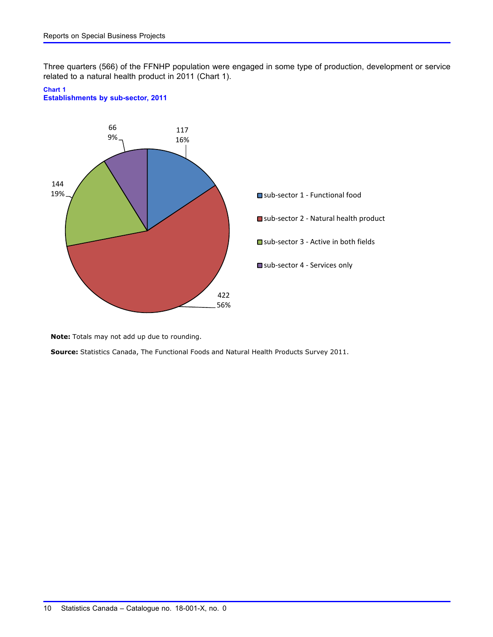Three quarters (566) of the FFNHP population were engaged in some type of production, development or service related to a natural health product in 2011 (Chart 1).

#### **Chart 1**





**Note:** Totals may not add up due to rounding.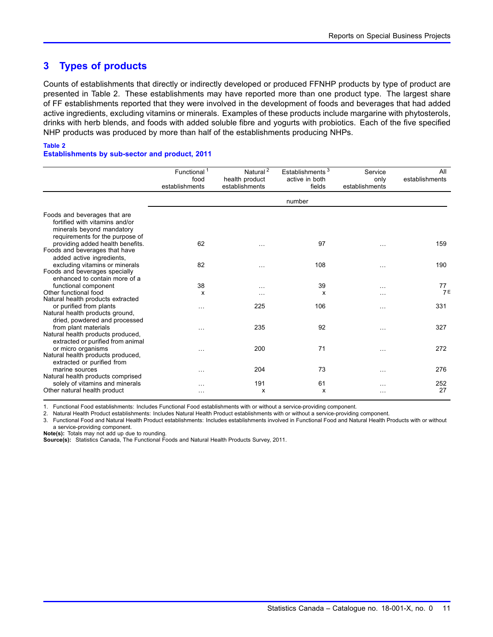### <span id="page-12-0"></span>**3 Types of products**

Counts of establishments that directly or indirectly developed or produced FFNHP products by type of product are presented in Table 2. These establishments may have reported more than one product type. The largest share of FF establishments reported that they were involved in the development of foods and beverages that had added active ingredients, excluding vitamins or minerals. Examples of these products include margarine with phytosterols, drinks with herb blends, and foods with added soluble fibre and yogurts with probiotics. Each of the five specified NHP products was produced by more than half of the establishments producing NHPs.

### **Table 2**

#### **Establishments by sub-sector and product, 2011**

|                                                                                                                                | Functional <sup>1</sup><br>food<br>establishments | Natural <sup>2</sup><br>health product<br>establishments | Establishments <sup>3</sup><br>active in both<br>fields | Service<br>only<br>establishments | All<br>establishments |
|--------------------------------------------------------------------------------------------------------------------------------|---------------------------------------------------|----------------------------------------------------------|---------------------------------------------------------|-----------------------------------|-----------------------|
|                                                                                                                                |                                                   |                                                          | number                                                  |                                   |                       |
| Foods and beverages that are<br>fortified with vitamins and/or<br>minerals beyond mandatory<br>requirements for the purpose of |                                                   |                                                          |                                                         |                                   |                       |
| providing added health benefits.<br>Foods and beverages that have<br>added active ingredients,                                 | 62                                                | $\ddotsc$                                                | 97                                                      | .                                 | 159                   |
| excluding vitamins or minerals<br>Foods and beverages specially<br>enhanced to contain more of a                               | 82                                                | $\cdots$                                                 | 108                                                     | $\ddotsc$                         | 190                   |
| functional component<br>Other functional food<br>Natural health products extracted                                             | 38<br>X                                           | $\cdots$<br>.                                            | 39<br>X                                                 | .<br>.                            | 77<br><b>7E</b>       |
| or purified from plants<br>Natural health products ground,<br>dried, powdered and processed                                    | $\cdots$                                          | 225                                                      | 106                                                     | $\cdots$                          | 331                   |
| from plant materials<br>Natural health products produced,<br>extracted or purified from animal                                 | .                                                 | 235                                                      | 92                                                      | .                                 | 327                   |
| or micro organisms<br>Natural health products produced,<br>extracted or purified from                                          | .                                                 | 200                                                      | 71                                                      | $\cdots$                          | 272                   |
| marine sources<br>Natural health products comprised                                                                            | $\cdots$                                          | 204                                                      | 73                                                      | $\cdots$                          | 276                   |
| solely of vitamins and minerals<br>Other natural health product                                                                | $\cdots$                                          | 191<br>x                                                 | 61<br>X                                                 | .<br>$\cdots$                     | 252<br>27             |

1. Functional Food establishments: Includes Functional Food establishments with or without a service-providing component.

2. Natural Health Product establishments: Includes Natural Health Product establishments with or without a service-providing component.

3. Functional Food and Natural Health Product establishments: Includes establishments involved in Functional Food and Natural Health Products with or without a service-providing component.

**Note(s):** Totals may not add up due to rounding.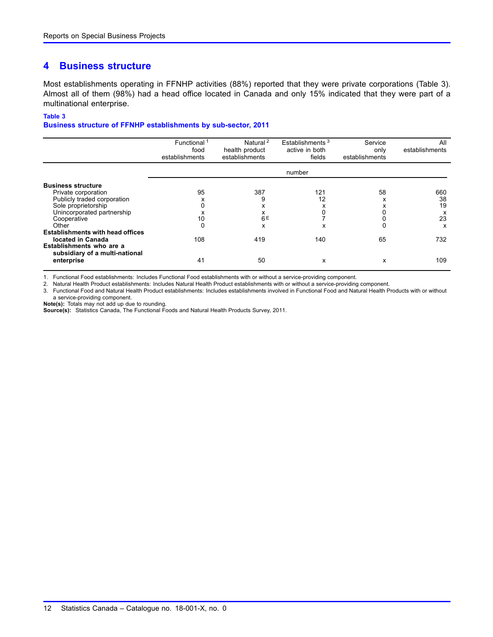### <span id="page-13-0"></span>**4 Business structure**

Most establishments operating in FFNHP activities (88%) reported that they were private corporations (Table 3). Almost all of them (98%) had a head office located in Canada and only 15% indicated that they were part of a multinational enterprise.

#### **Table 3**

#### **Business structure of FFNHP establishments by sub-sector, 2011**

|                                                            | Functional <sup>1</sup><br>food<br>establishments | Natural <sup>2</sup><br>health product<br>establishments | Establishments <sup>3</sup><br>active in both<br>fields | Service<br>only<br>establishments | All<br>establishments |
|------------------------------------------------------------|---------------------------------------------------|----------------------------------------------------------|---------------------------------------------------------|-----------------------------------|-----------------------|
|                                                            |                                                   |                                                          | number                                                  |                                   |                       |
| <b>Business structure</b>                                  |                                                   |                                                          |                                                         |                                   |                       |
| Private corporation                                        | 95                                                | 387                                                      | 121                                                     | 58                                | 660                   |
| Publicly traded corporation                                | ́                                                 | 9                                                        | 12                                                      | x                                 | 38                    |
| Sole proprietorship                                        |                                                   | x                                                        |                                                         | x                                 | 19                    |
| Unincorporated partnership                                 |                                                   | x                                                        |                                                         |                                   | x                     |
| Cooperative                                                | 10                                                | 6E                                                       |                                                         |                                   | 23                    |
| Other                                                      |                                                   | x                                                        | x                                                       | 0                                 | x                     |
| <b>Establishments with head offices</b>                    |                                                   |                                                          |                                                         |                                   |                       |
| located in Canada                                          | 108                                               | 419                                                      | 140                                                     | 65                                | 732                   |
| Establishments who are a<br>subsidiary of a multi-national |                                                   |                                                          |                                                         |                                   |                       |
| enterprise                                                 | 41                                                | 50                                                       | x                                                       | x                                 | 109                   |

1. Functional Food establishments: Includes Functional Food establishments with or without a service-providing component.

2. Natural Health Product establishments: Includes Natural Health Product establishments with or without a service-providing component.

3. Functional Food and Natural Health Product establishments: Includes establishments involved in Functional Food and Natural Health Products with or without a service-providing component.

**Note(s):** Totals may not add up due to rounding.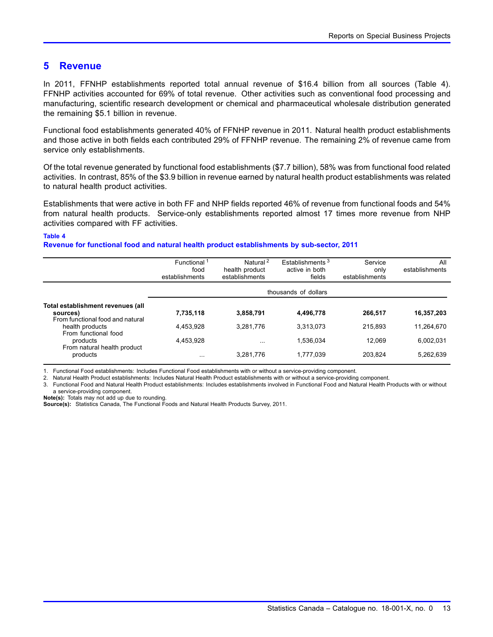### <span id="page-14-0"></span>**5 Revenue**

In 2011, FFNHP establishments reported total annual revenue of \$16.4 billion from all sources (Table 4). FFNHP activities accounted for 69% of total revenue. Other activities such as conventional food processing and manufacturing, scientific research development or chemical and pharmaceutical wholesale distribution generated the remaining \$5.1 billion in revenue.

Functional food establishments generated 40% of FFNHP revenue in 2011. Natural health product establishments and those active in both fields each contributed 29% of FFNHP revenue. The remaining 2% of revenue came from service only establishments.

Of the total revenue generated by functional food establishments (\$7.7 billion), 58% was from functional food related activities. In contrast, 85% of the \$3.9 billion in revenue earned by natural health product establishments was related to natural health product activities.

Establishments that were active in both FF and NHP fields reported 46% of revenue from functional foods and 54% from natural health products. Service-only establishments reported almost 17 times more revenue from NHP activities compared with FF activities.

#### **Table 4**

#### **Revenue for functional food and natural health product establishments by sub-sector, 2011**

|                                               | Functional <sup>1</sup> | Natural <sup>2</sup> | Establishments <sup>3</sup> | Service        | All            |
|-----------------------------------------------|-------------------------|----------------------|-----------------------------|----------------|----------------|
|                                               | food                    | health product       | active in both              | only           | establishments |
|                                               | establishments          | establishments       | fields                      | establishments |                |
|                                               |                         |                      | thousands of dollars        |                |                |
| Total establishment revenues (all<br>sources) | 7,735,118               | 3,858,791            | 4,496,778                   | 266.517        | 16,357,203     |
| From functional food and natural              |                         |                      |                             |                |                |
| health products<br>From functional food       | 4.453.928               | 3.281.776            | 3.313.073                   | 215.893        | 11.264.670     |
| products<br>From natural health product       | 4.453.928               | $\cdots$             | 1.536.034                   | 12.069         | 6.002.031      |
| products                                      | $\cdots$                | 3,281,776            | 1.777.039                   | 203,824        | 5,262,639      |

1. Functional Food establishments: Includes Functional Food establishments with or without a service-providing component.

2. Natural Health Product establishments: Includes Natural Health Product establishments with or without a service-providing component.

3. Functional Food and Natural Health Product establishments: Includes establishments involved in Functional Food and Natural Health Products with or without a service-providing component.

**Note(s):** Totals may not add up due to rounding.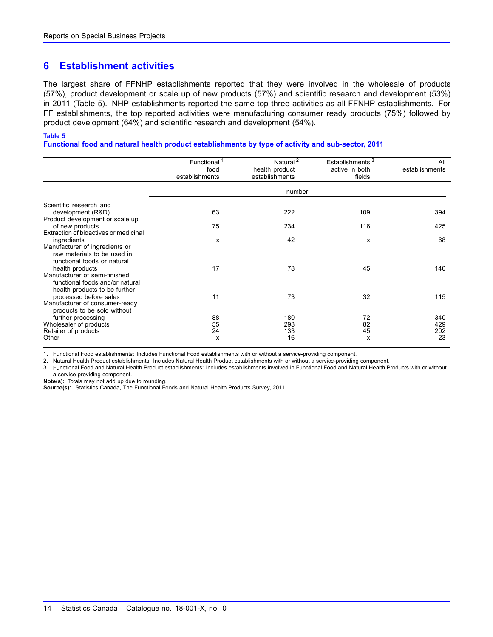### <span id="page-15-0"></span>**6 Establishment activities**

The largest share of FFNHP establishments reported that they were involved in the wholesale of products (57%), product development or scale up of new products (57%) and scientific research and development (53%) in 2011 (Table 5). NHP establishments reported the same top three activities as all FFNHP establishments. For FF establishments, the top reported activities were manufacturing consumer ready products (75%) followed by product development (64%) and scientific research and development (54%).

#### **Table 5**

**Functional food and natural health product establishments by type of activity and sub-sector, 2011**

|                                                                                                                      | Functional <sup>1</sup><br>food<br>establishments | Natural <sup>2</sup><br>health product<br>establishments | Establishments <sup>3</sup><br>active in both<br>fields | All<br>establishments   |
|----------------------------------------------------------------------------------------------------------------------|---------------------------------------------------|----------------------------------------------------------|---------------------------------------------------------|-------------------------|
|                                                                                                                      |                                                   | number                                                   |                                                         |                         |
| Scientific research and<br>development (R&D)                                                                         | 63                                                | 222                                                      | 109                                                     | 394                     |
| Product development or scale up                                                                                      |                                                   |                                                          |                                                         |                         |
| of new products                                                                                                      | 75                                                | 234                                                      | 116                                                     | 425                     |
| Extraction of bioactives or medicinal                                                                                |                                                   |                                                          |                                                         |                         |
| ingredients<br>Manufacturer of ingredients or<br>raw materials to be used in<br>functional foods or natural          | x                                                 | 42                                                       | X                                                       | 68                      |
| health products<br>Manufacturer of semi-finished<br>functional foods and/or natural<br>health products to be further | 17                                                | 78                                                       | 45                                                      | 140                     |
| processed before sales<br>Manufacturer of consumer-ready<br>products to be sold without                              | 11                                                | 73                                                       | 32                                                      | 115                     |
| further processing<br>Wholesaler of products<br>Retailer of products<br>Other                                        | 88<br>55<br>24<br>x                               | 180<br>293<br>133<br>16                                  | 72<br>82<br>45<br>x                                     | 340<br>429<br>202<br>23 |

1. Functional Food establishments: Includes Functional Food establishments with or without a service-providing component.

2. Natural Health Product establishments: Includes Natural Health Product establishments with or without a service-providing component.

3. Functional Food and Natural Health Product establishments: Includes establishments involved in Functional Food and Natural Health Products with or without a service-providing component.

**Note(s):** Totals may not add up due to rounding.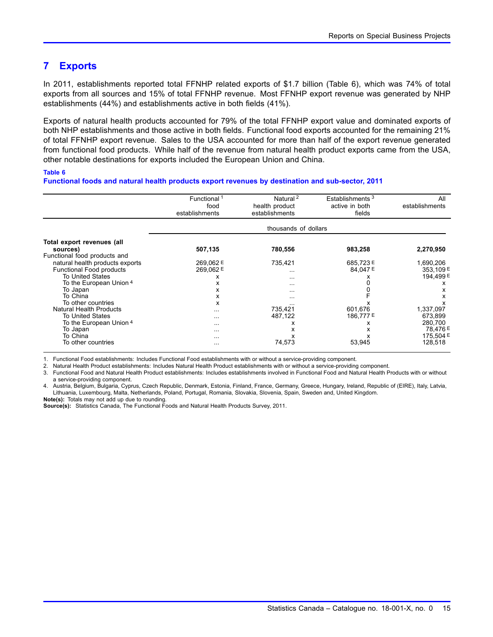### <span id="page-16-0"></span>**7 Exports**

In 2011, establishments reported total FFNHP related exports of \$1.7 billion (Table 6), which was 74% of total exports from all sources and 15% of total FFNHP revenue. Most FFNHP export revenue was generated by NHP establishments (44%) and establishments active in both fields (41%).

Exports of natural health products accounted for 79% of the total FFNHP export value and dominated exports of both NHP establishments and those active in both fields. Functional food exports accounted for the remaining 21% of total FFNHP export revenue. Sales to the USA accounted for more than half of the export revenue generated from functional food products. While half of the revenue from natural health product exports came from the USA, other notable destinations for exports included the European Union and China.

### **Table 6**

**Functional foods and natural health products export revenues by destination and sub-sector, 2011**

|                                 | Functional <sup>1</sup><br>food | Natural <sup>2</sup><br>health product | Establishments <sup>3</sup><br>active in both | All<br>establishments |
|---------------------------------|---------------------------------|----------------------------------------|-----------------------------------------------|-----------------------|
|                                 | establishments                  | establishments                         | fields                                        |                       |
|                                 |                                 | thousands of dollars                   |                                               |                       |
| Total export revenues (all      |                                 |                                        |                                               |                       |
| sources)                        | 507,135                         | 780,556                                | 983,258                                       | 2,270,950             |
| Functional food products and    |                                 |                                        |                                               |                       |
| natural health products exports | 269,062 E                       | 735,421                                | 685,723 E                                     | 1,690,206             |
| Functional Food products        | 269,062 E                       | $\cdots$                               | 84,047 E                                      | 353,109 E             |
| To United States                | х                               | $\cdots$                               |                                               | 194,499 E             |
| To the European Union 4         | x                               | $\cdots$                               |                                               |                       |
| To Japan                        | x                               | $\cdots$                               |                                               | x                     |
| To China                        | x                               | $\cdots$                               |                                               |                       |
| To other countries              | x                               |                                        |                                               |                       |
| <b>Natural Health Products</b>  | $\cdots$                        | 735,421                                | 601,676                                       | 1,337,097             |
| To United States                | $\cdots$                        | 487,122                                | 186,777 E                                     | 673,899               |
| To the European Union 4         | $\cdots$                        |                                        | х                                             | 280,700               |
| To Japan                        | $\cdots$                        | х                                      |                                               | 78.476 E              |
| To China                        | $\cdots$                        |                                        |                                               | 175,504 E             |
| To other countries              | $\cdots$                        | 74,573                                 | 53,945                                        | 128,518               |

1. Functional Food establishments: Includes Functional Food establishments with or without a service-providing component.

2. Natural Health Product establishments: Includes Natural Health Product establishments with or without a service-providing component.

3. Functional Food and Natural Health Product establishments: Includes establishments involved in Functional Food and Natural Health Products with or without a service-providing component.

4. Austria, Belgium, Bulgaria, Cyprus, Czech Republic, Denmark, Estonia, Finland, France, Germany, Greece, Hungary, Ireland, Republic of (EIRE), Italy, Latvia, Lithuania, Luxembourg, Malta, Netherlands, Poland, Portugal, Romania, Slovakia, Slovenia, Spain, Sweden and, United Kingdom. **Note(s):** Totals may not add up due to rounding.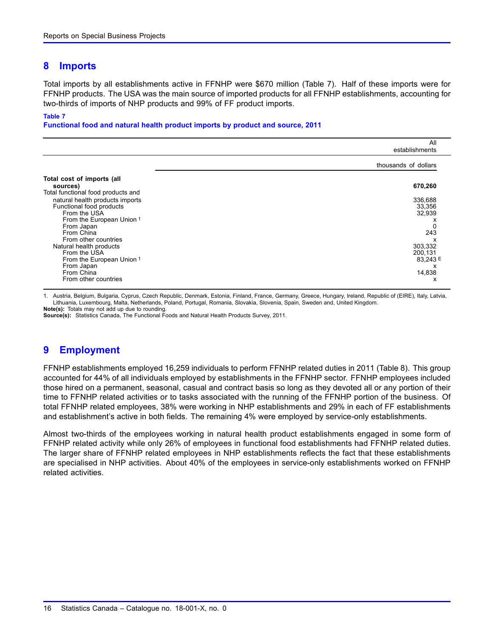### <span id="page-17-0"></span>**8 Imports**

Total imports by all establishments active in FFNHP were \$670 million (Table 7). Half of these imports were for FFNHP products. The USA was the main source of imported products for all FFNHP establishments, accounting for two-thirds of imports of NHP products and 99% of FF product imports.

#### **Table 7**

**Functional food and natural health product imports by product and source, 2011**

|                                                                                                                                                                            | All<br>establishments                                   |
|----------------------------------------------------------------------------------------------------------------------------------------------------------------------------|---------------------------------------------------------|
|                                                                                                                                                                            | thousands of dollars                                    |
| Total cost of imports (all<br>sources)                                                                                                                                     | 670,260                                                 |
| Total functional food products and<br>natural health products imports<br>Functional food products<br>From the USA<br>From the European Union 1<br>From Japan<br>From China | 336,688<br>33,356<br>32,939<br>0<br>243                 |
| From other countries<br>Natural health products<br>From the USA<br>From the European Union 1<br>From Japan<br>From China<br>From other countries                           | x<br>303,332<br>200,131<br>83,243 E<br>х<br>14,838<br>x |

1. Austria, Belgium, Bulgaria, Cyprus, Czech Republic, Denmark, Estonia, Finland, France, Germany, Greece, Hungary, Ireland, Republic of (EIRE), Italy, Latvia, Lithuania, Luxembourg, Malta, Netherlands, Poland, Portugal, Romania, Slovakia, Slovenia, Spain, Sweden and, United Kingdom. **Note(s):** Totals may not add up due to rounding.

**Source(s):** Statistics Canada, The Functional Foods and Natural Health Products Survey, 2011.

### **9 Employment**

FFNHP establishments employed 16,259 individuals to perform FFNHP related duties in 2011 (Table [8](#page-18-0)). This group accounted for 44% of all individuals employed by establishments in the FFNHP sector. FFNHP employees included those hired on a permanent, seasonal, casual and contract basis so long as they devoted all or any portion of their time to FFNHP related activities or to tasks associated with the running of the FFNHP portion of the business. Of total FFNHP related employees, 38% were working in NHP establishments and 29% in each of FF establishments and establishment's active in both fields. The remaining 4% were employed by service-only establishments.

Almost two-thirds of the employees working in natural health product establishments engaged in some form of FFNHP related activity while only 26% of employees in functional food establishments had FFNHP related duties. The larger share of FFNHP related employees in NHP establishments reflects the fact that these establishments are specialised in NHP activities. About 40% of the employees in service-only establishments worked on FFNHP related activities.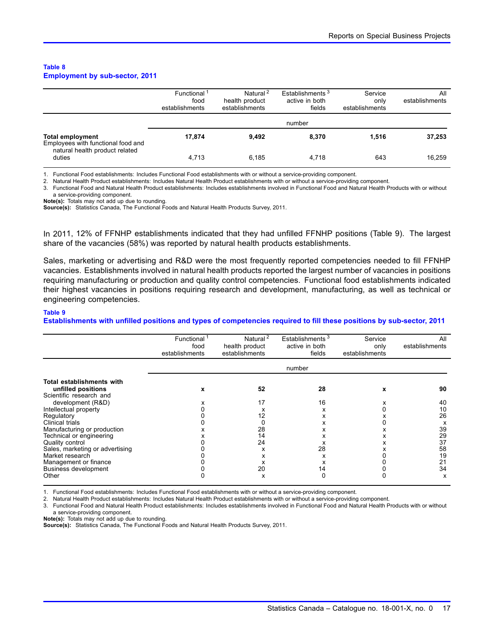#### <span id="page-18-0"></span>**Table 8 Employment by sub-sector, 2011**

|                                                               | Functional <sup>1</sup><br>food<br>establishments | Natural <sup>2</sup><br>health product<br>establishments | Establishments <sup>3</sup><br>active in both<br>fields | Service<br>only<br>establishments | All<br>establishments |
|---------------------------------------------------------------|---------------------------------------------------|----------------------------------------------------------|---------------------------------------------------------|-----------------------------------|-----------------------|
|                                                               |                                                   |                                                          | number                                                  |                                   |                       |
| <b>Total employment</b><br>Employees with functional food and | 17.874                                            | 9.492                                                    | 8.370                                                   | 1.516                             | 37,253                |
| natural health product related<br>duties                      | 4.713                                             | 6.185                                                    | 4.718                                                   | 643                               | 16,259                |

1. Functional Food establishments: Includes Functional Food establishments with or without a service-providing component.

2. Natural Health Product establishments: Includes Natural Health Product establishments with or without a service-providing component.

3. Functional Food and Natural Health Product establishments: Includes establishments involved in Functional Food and Natural Health Products with or without a service-providing component.

**Note(s):** Totals may not add up due to rounding.

**Source(s):** Statistics Canada, The Functional Foods and Natural Health Products Survey, 2011.

In 2011, 12% of FFNHP establishments indicated that they had unfilled FFNHP positions (Table 9). The largest share of the vacancies (58%) was reported by natural health products establishments.

Sales, marketing or advertising and R&D were the most frequently reported competencies needed to fill FFNHP vacancies. Establishments involved in natural health products reported the largest number of vacancies in positions requiring manufacturing or production and quality control competencies. Functional food establishments indicated their highest vacancies in positions requiring research and development, manufacturing, as well as technical or engineering competencies.

#### **Table 9**

**Establishments with unfilled positions and types of competencies required to fill these positions by sub-sector, 2011**

|                                 | Functional <sup>1</sup> | Natural <sup>2</sup> | Establishments <sup>3</sup> | Service        | All            |
|---------------------------------|-------------------------|----------------------|-----------------------------|----------------|----------------|
|                                 | food                    | health product       | active in both              | only           | establishments |
|                                 | establishments          | establishments       | fields                      | establishments |                |
|                                 |                         |                      | number                      |                |                |
| Total establishments with       |                         |                      |                             |                |                |
| unfilled positions              | x                       | 52                   | 28                          | x              | 90             |
| Scientific research and         |                         |                      |                             |                |                |
| development (R&D)               |                         | 17                   | 16                          | х              | 40             |
| Intellectual property           |                         | х                    | х                           |                | 10             |
| Regulatory                      |                         | 12                   | х                           |                | 26             |
| Clinical trials                 |                         |                      | x                           |                | х              |
| Manufacturing or production     |                         | 28                   |                             |                | 39             |
| Technical or engineering        |                         | 14                   |                             |                | 29             |
| Quality control                 |                         | 24                   | х                           |                | 37             |
| Sales, marketing or advertising |                         | x                    | 28                          |                | 58             |
| Market research                 |                         | x                    | x                           |                | 19             |
| Management or finance           |                         | x                    |                             |                | 21             |
| <b>Business development</b>     |                         | 20                   | 14                          |                | 34             |
| Other                           |                         | x                    |                             |                | x              |

1. Functional Food establishments: Includes Functional Food establishments with or without a service-providing component.

2. Natural Health Product establishments: Includes Natural Health Product establishments with or without a service-providing component.

3. Functional Food and Natural Health Product establishments: Includes establishments involved in Functional Food and Natural Health Products with or without a service-providing component.

**Note(s):** Totals may not add up due to rounding.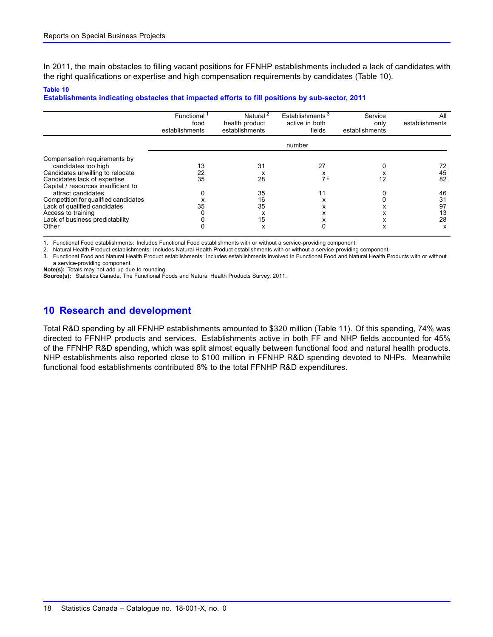<span id="page-19-0"></span>In 2011, the main obstacles to filling vacant positions for FFNHP establishments included a lack of candidates with the right qualifications or expertise and high compensation requirements by candidates (Table 10).

#### **Table 10**

**Establishments indicating obstacles that impacted efforts to fill positions by sub-sector, 2011**

|                                                                                                                                                                | Functional<br>food<br>establishments | Natural <sup>2</sup><br>health product<br>establishments | Establishments <sup>3</sup><br>active in both<br>fields | Service<br>only<br>establishments | All<br>establishments           |  |  |
|----------------------------------------------------------------------------------------------------------------------------------------------------------------|--------------------------------------|----------------------------------------------------------|---------------------------------------------------------|-----------------------------------|---------------------------------|--|--|
|                                                                                                                                                                | number                               |                                                          |                                                         |                                   |                                 |  |  |
| Compensation requirements by<br>candidates too high<br>Candidates unwilling to relocate<br>Candidates lack of expertise<br>Capital / resources insufficient to | 13<br>22<br>35                       | 31<br>x<br>28                                            | 27<br>7 E                                               | 12                                | 72<br>45<br>82                  |  |  |
| attract candidates<br>Competition for qualified candidates<br>Lack of qualified candidates<br>Access to training<br>Lack of business predictability<br>Other   | 35                                   | 35<br>16<br>35<br>x<br>15<br>x                           | 11<br>x                                                 | x                                 | 46<br>31<br>97<br>13<br>28<br>x |  |  |

1. Functional Food establishments: Includes Functional Food establishments with or without a service-providing component.

2. Natural Health Product establishments: Includes Natural Health Product establishments with or without a service-providing component.

3. Functional Food and Natural Health Product establishments: Includes establishments involved in Functional Food and Natural Health Products with or without a service-providing component.

**Note(s):** Totals may not add up due to rounding.

**Source(s):** Statistics Canada, The Functional Foods and Natural Health Products Survey, 2011.

### **10 Research and development**

Total R&D spending by all FFNHP establishments amounted to \$320 million (Table [11\)](#page-20-0). Of this spending, 74% was directed to FFNHP products and services. Establishments active in both FF and NHP fields accounted for 45% of the FFNHP R&D spending, which was split almost equally between functional food and natural health products. NHP establishments also reported close to \$100 million in FFNHP R&D spending devoted to NHPs. Meanwhile functional food establishments contributed 8% to the total FFNHP R&D expenditures.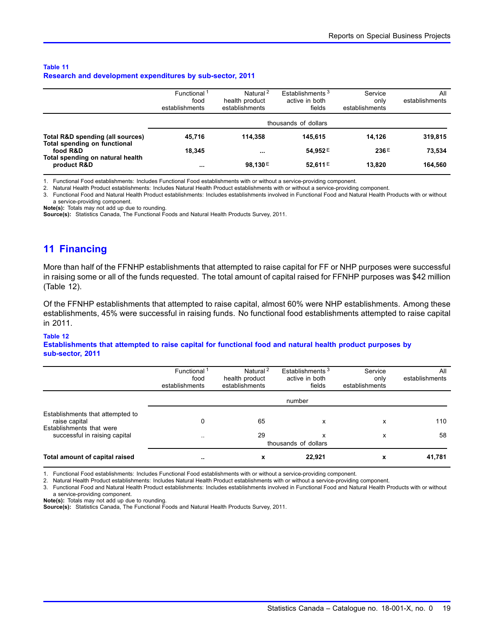#### <span id="page-20-0"></span>**Table 11 Research and development expenditures by sub-sector, 2011**

|                                                                              | Functional <sup>1</sup><br>food<br>establishments | Natural <sup>2</sup><br>health product<br>establishments | Establishments <sup>3</sup><br>active in both<br>fields | Service<br>only<br>establishments | All<br>establishments |  |
|------------------------------------------------------------------------------|---------------------------------------------------|----------------------------------------------------------|---------------------------------------------------------|-----------------------------------|-----------------------|--|
|                                                                              | thousands of dollars                              |                                                          |                                                         |                                   |                       |  |
| Total R&D spending (all sources)                                             | 45.716                                            | 114.358                                                  | 145.615                                                 | 14.126                            | 319,815               |  |
| Total spending on functional<br>food R&D<br>Total spending on natural health | 18.345                                            | $\cdots$                                                 | 54.952E                                                 | 236E                              | 73,534                |  |
| product R&D                                                                  | $\cdots$                                          | 98.130E                                                  | 52,611 E                                                | 13.820                            | 164,560               |  |

1. Functional Food establishments: Includes Functional Food establishments with or without a service-providing component.

2. Natural Health Product establishments: Includes Natural Health Product establishments with or without a service-providing component.

3. Functional Food and Natural Health Product establishments: Includes establishments involved in Functional Food and Natural Health Products with or without

a service-providing component.

**Note(s):** Totals may not add up due to rounding.

**Source(s):** Statistics Canada, The Functional Foods and Natural Health Products Survey, 2011.

### **11 Financing**

More than half of the FFNHP establishments that attempted to raise capital for FF or NHP purposes were successful in raising some or all of the funds requested. The total amount of capital raised for FFNHP purposes was \$42 million (Table 12).

Of the FFNHP establishments that attempted to raise capital, almost 60% were NHP establishments. Among these establishments, 45% were successful in raising funds. No functional food establishments attempted to raise capital in 2011.

#### **Table 12**

**Establishments that attempted to raise capital for functional food and natural health product purposes by sub-sector, 2011**

|                                                                               | Functional <sup>1</sup><br>food<br>establishments | Natural <sup>2</sup><br>health product<br>establishments | Establishments <sup>3</sup><br>active in both<br>fields | Service<br>only<br>establishments | All<br>establishments |  |
|-------------------------------------------------------------------------------|---------------------------------------------------|----------------------------------------------------------|---------------------------------------------------------|-----------------------------------|-----------------------|--|
|                                                                               | number                                            |                                                          |                                                         |                                   |                       |  |
| Establishments that attempted to<br>raise capital<br>Establishments that were | 0                                                 | 65                                                       | x                                                       | x                                 | 110                   |  |
| successful in raising capital                                                 | $\ddotsc$                                         | 29                                                       | x<br>thousands of dollars                               | x                                 | 58                    |  |
| Total amount of capital raised                                                | $\sim$                                            | X                                                        | 22,921                                                  | x                                 | 41,781                |  |

1. Functional Food establishments: Includes Functional Food establishments with or without a service-providing component.

2. Natural Health Product establishments: Includes Natural Health Product establishments with or without a service-providing component.

3. Functional Food and Natural Health Product establishments: Includes establishments involved in Functional Food and Natural Health Products with or without a service-providing component.

**Note(s):** Totals may not add up due to rounding.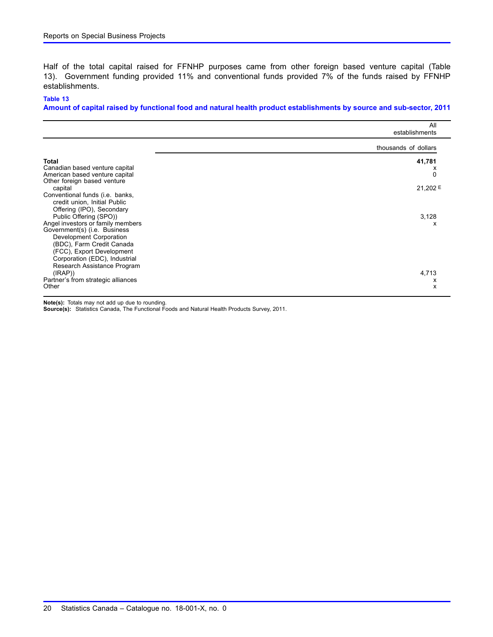Half of the total capital raised for FFNHP purposes came from other foreign based venture capital (Table 13). Government funding provided 11% and conventional funds provided 7% of the funds raised by FFNHP establishments.

#### **Table 13**

**Amount of capital raised by functional food and natural health product establishments by source and sub-sector, 2011**

|                                                                                                                                                                                                                        | All<br>establishments |
|------------------------------------------------------------------------------------------------------------------------------------------------------------------------------------------------------------------------|-----------------------|
|                                                                                                                                                                                                                        | thousands of dollars  |
| <b>Total</b><br>Canadian based venture capital<br>American based venture capital<br>Other foreign based venture                                                                                                        | 41,781<br>х<br>0      |
| capital<br>Conventional funds (i.e. banks,<br>credit union, Initial Public<br>Offering (IPO), Secondary<br>Public Offering (SPO))                                                                                      | 21,202 E<br>3,128     |
| Angel investors or family members<br>Government(s) (i.e. Business<br>Development Corporation<br>(BDC), Farm Credit Canada<br>(FCC), Export Development<br>Corporation (EDC), Industrial<br>Research Assistance Program | x                     |
| (IRAP)<br>Partner's from strategic alliances<br>Other                                                                                                                                                                  | 4,713<br>x<br>x       |

**Note(s):** Totals may not add up due to rounding.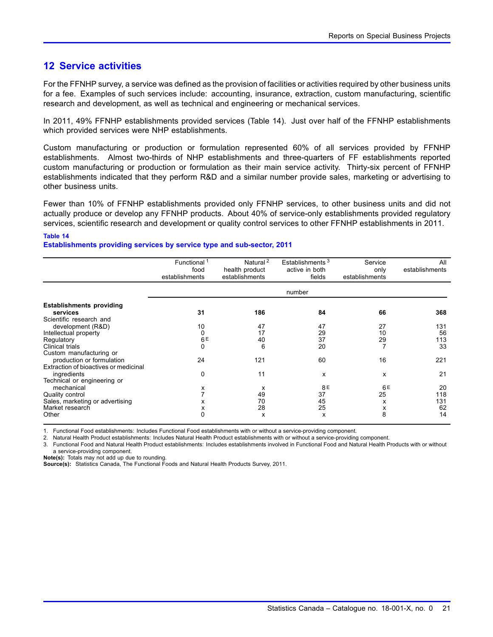### <span id="page-22-0"></span>**12 Service activities**

For the FFNHP survey, a service was defined as the provision of facilities or activities required by other business units for a fee. Examples of such services include: accounting, insurance, extraction, custom manufacturing, scientific research and development, as well as technical and engineering or mechanical services.

In 2011, 49% FFNHP establishments provided services (Table 14). Just over half of the FFNHP establishments which provided services were NHP establishments.

Custom manufacturing or production or formulation represented 60% of all services provided by FFNHP establishments. Almost two-thirds of NHP establishments and three-quarters of FF establishments reported custom manufacturing or production or formulation as their main service activity. Thirty-six percent of FFNHP establishments indicated that they perform R&D and a similar number provide sales, marketing or advertising to other business units.

Fewer than 10% of FFNHP establishments provided only FFNHP services, to other business units and did not actually produce or develop any FFNHP products. About 40% of service-only establishments provided regulatory services, scientific research and development or quality control services to other FFNHP establishments in 2011.

#### **Table 14**

#### **Establishments providing services by service type and sub-sector, 2011**

|                                                                    | Functional <sup>1</sup><br>food<br>establishments | Natural $\sqrt{2}$<br>health product<br>establishments | Establishments <sup>3</sup><br>active in both<br>fields | Service<br>only<br>establishments | All<br>establishments |
|--------------------------------------------------------------------|---------------------------------------------------|--------------------------------------------------------|---------------------------------------------------------|-----------------------------------|-----------------------|
|                                                                    |                                                   |                                                        | number                                                  |                                   |                       |
| <b>Establishments providing</b><br>services                        | 31                                                | 186                                                    | 84                                                      | 66                                | 368                   |
| Scientific research and<br>development (R&D)                       | 10                                                | 47                                                     | 47                                                      | 27                                | 131                   |
| Intellectual property<br>Regulatory                                | 0<br>6E                                           | 17<br>40                                               | 29<br>37                                                | 10<br>29                          | 56<br>113             |
| Clinical trials<br>Custom manufacturing or                         |                                                   | 6                                                      | 20                                                      | 7                                 | 33                    |
| production or formulation<br>Extraction of bioactives or medicinal | 24                                                | 121                                                    | 60                                                      | 16                                | 221                   |
| ingredients<br>Technical or engineering or                         | 0                                                 | 11                                                     | x                                                       | x                                 | 21                    |
| mechanical<br>Quality control                                      | х                                                 | х<br>49                                                | 8E<br>37                                                | 6E<br>25                          | 20<br>118             |
| Sales, marketing or advertising<br>Market research                 | x<br>х                                            | 70<br>28                                               | 45<br>25                                                | x<br>х                            | 131<br>62             |
| Other                                                              | 0                                                 | x                                                      | X                                                       | 8                                 | 14                    |

1. Functional Food establishments: Includes Functional Food establishments with or without a service-providing component.

2. Natural Health Product establishments: Includes Natural Health Product establishments with or without a service-providing component.

3. Functional Food and Natural Health Product establishments: Includes establishments involved in Functional Food and Natural Health Products with or without

a service-providing component.

**Note(s):** Totals may not add up due to rounding.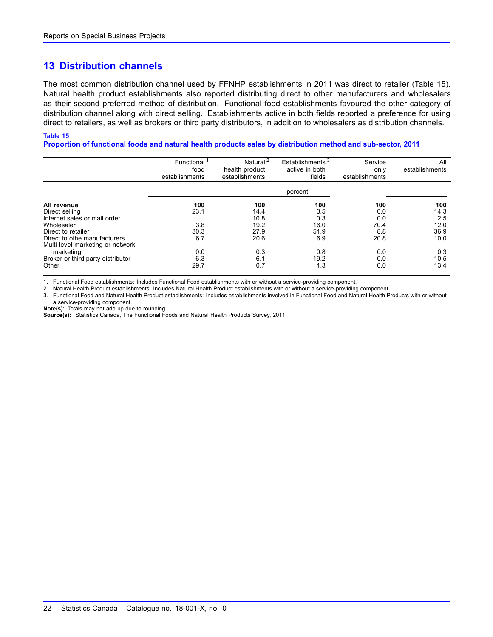### <span id="page-23-0"></span>**13 Distribution channels**

The most common distribution channel used by FFNHP establishments in 2011 was direct to retailer (Table 15). Natural health product establishments also reported distributing direct to other manufacturers and wholesalers as their second preferred method of distribution. Functional food establishments favoured the other category of distribution channel along with direct selling. Establishments active in both fields reported a preference for using direct to retailers, as well as brokers or third party distributors, in addition to wholesalers as distribution channels.

#### **Table 15**

**Proportion of functional foods and natural health products sales by distribution method and sub-sector, 2011**

|                                   | Functional <sup>1</sup><br>food<br>establishments | Natural <sup>2</sup><br>health product<br>establishments | Establishments <sup>3</sup><br>active in both<br>fields | Service<br>only<br>establishments | All<br>establishments |
|-----------------------------------|---------------------------------------------------|----------------------------------------------------------|---------------------------------------------------------|-----------------------------------|-----------------------|
|                                   |                                                   |                                                          | percent                                                 |                                   |                       |
| All revenue                       | 100                                               | 100                                                      | 100                                                     | 100                               | 100                   |
| Direct selling                    | 23.1                                              | 14.4                                                     | 3.5                                                     | 0.0                               | 14.3                  |
| Internet sales or mail order      |                                                   | 10.8                                                     | 0.3                                                     | 0.0                               | 2.5                   |
| Wholesaler                        | 3.8                                               | 19.2                                                     | 16.0                                                    | 70.4                              | 12.0                  |
| Direct to retailer                | 30.3                                              | 27.9                                                     | 51.9                                                    | 8.8                               | 36.9                  |
| Direct to othe manufacturers      | 6.7                                               | 20.6                                                     | 6.9                                                     | 20.8                              | 10.0                  |
| Multi-level marketing or network  |                                                   |                                                          |                                                         |                                   |                       |
| marketing                         | 0.0                                               | 0.3                                                      | 0.8                                                     | 0.0                               | 0.3                   |
| Broker or third party distributor | 6.3                                               | 6.1                                                      | 19.2                                                    | 0.0                               | 10.5                  |
| Other                             | 29.7                                              | 0.7                                                      | 1.3                                                     | 0.0                               | 13.4                  |

1. Functional Food establishments: Includes Functional Food establishments with or without a service-providing component.

2. Natural Health Product establishments: Includes Natural Health Product establishments with or without a service-providing component.

3. Functional Food and Natural Health Product establishments: Includes establishments involved in Functional Food and Natural Health Products with or without a service-providing component.

**Note(s):** Totals may not add up due to rounding.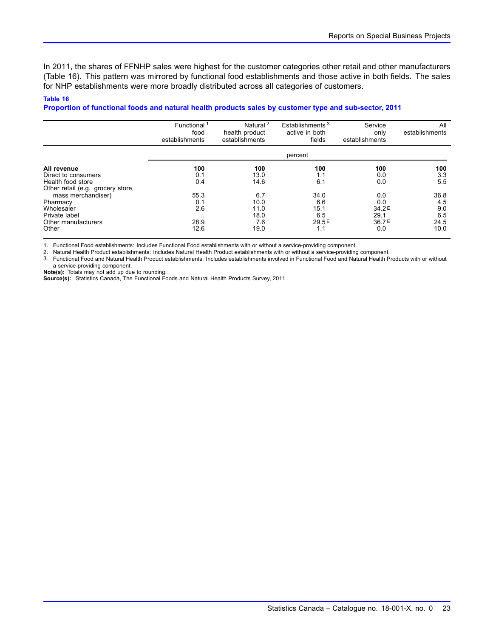In 2011, the shares of FFNHP sales were highest for the customer categories other retail and other manufacturers (Table 16). This pattern was mirrored by functional food establishments and those active in both fields. The sales for NHP establishments were more broadly distributed across all categories of customers.

#### **Table 16**

#### **Proportion of functional foods and natural health products sales by customer type and sub-sector, 2011**

|                                                                                                                                    | Functional <sup>1</sup><br>food<br>establishments | Natural <sup>2</sup><br>health product<br>establishments | Establishments <sup>3</sup><br>active in both<br>fields | Service<br>only<br>establishments                       | All<br>establishments                     |
|------------------------------------------------------------------------------------------------------------------------------------|---------------------------------------------------|----------------------------------------------------------|---------------------------------------------------------|---------------------------------------------------------|-------------------------------------------|
|                                                                                                                                    |                                                   |                                                          | percent                                                 |                                                         |                                           |
| All revenue<br>Direct to consumers<br>Health food store                                                                            | 100<br>0.1<br>0.4                                 | 100<br>13.0<br>14.6                                      | 100<br>1.1<br>6.1                                       | 100<br>0.0<br>0.0                                       | 100<br>3.3<br>5.5                         |
| Other retail (e.g. grocery store,<br>mass merchandiser)<br>Pharmacy<br>Wholesaler<br>Private label<br>Other manufacturers<br>Other | 55.3<br>0.1<br>2.6<br>$\cdot$ .<br>28.9<br>12.6   | 6.7<br>10.0<br>11.0<br>18.0<br>7.6<br>19.0               | 34.0<br>6.6<br>15.1<br>6.5<br>29.5E<br>1.1              | 0.0<br>0.0<br>34.2 <sup>E</sup><br>29.1<br>36.7E<br>0.0 | 36.8<br>4.5<br>9.0<br>6.5<br>24.5<br>10.0 |

1. Functional Food establishments: Includes Functional Food establishments with or without a service-providing component.

2. Natural Health Product establishments: Includes Natural Health Product establishments with or without a service-providing component.

3. Functional Food and Natural Health Product establishments: Includes establishments involved in Functional Food and Natural Health Products with or without a service-providing component.

**Note(s):** Totals may not add up due to rounding.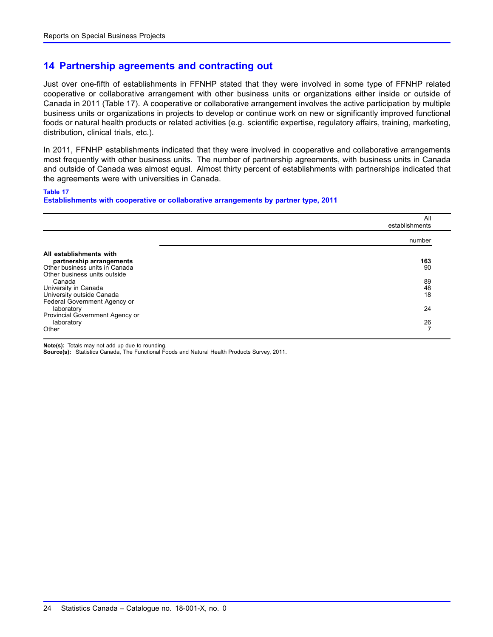### <span id="page-25-0"></span>**14 Partnership agreements and contracting out**

Just over one-fifth of establishments in FFNHP stated that they were involved in some type of FFNHP related cooperative or collaborative arrangement with other business units or organizations either inside or outside of Canada in 2011 (Table 17). A cooperative or collaborative arrangement involves the active participation by multiple business units or organizations in projects to develop or continue work on new or significantly improved functional foods or natural health products or related activities (e.g. scientific expertise, regulatory affairs, training, marketing, distribution, clinical trials, etc.).

In 2011, FFNHP establishments indicated that they were involved in cooperative and collaborative arrangements most frequently with other business units. The number of partnership agreements, with business units in Canada and outside of Canada was almost equal. Almost thirty percent of establishments with partnerships indicated that the agreements were with universities in Canada.

#### **Table 17**

**Establishments with cooperative or collaborative arrangements by partner type, 2011**

|                                 | All<br>establishments    |
|---------------------------------|--------------------------|
|                                 | number                   |
| All establishments with         |                          |
| partnership arrangements        | 163                      |
| Other business units in Canada  | 90                       |
| Other business units outside    |                          |
| Canada                          | 89                       |
| University in Canada            | 48                       |
| University outside Canada       | 18                       |
| Federal Government Agency or    |                          |
| laboratory                      | 24                       |
| Provincial Government Agency or |                          |
| laboratory                      | 26                       |
| Other                           | $\overline{\phantom{a}}$ |

**Note(s):** Totals may not add up due to rounding.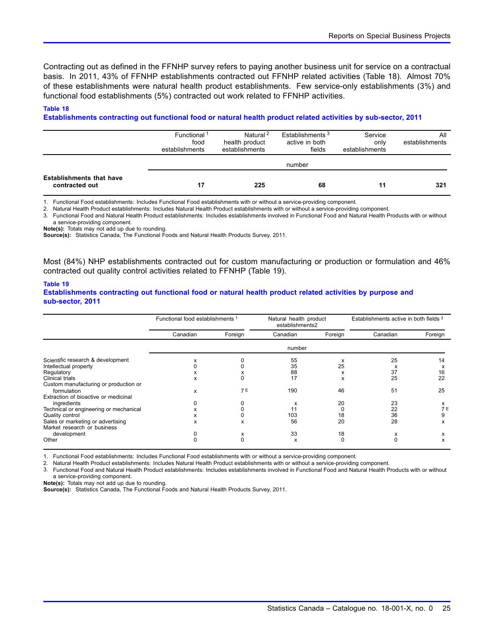Contracting out as defined in the FFNHP survey refers to paying another business unit for service on a contractual basis. In 2011, 43% of FFNHP establishments contracted out FFNHP related activities (Table 18). Almost 70% of these establishments were natural health product establishments. Few service-only establishments (3%) and functional food establishments (5%) contracted out work related to FFNHP activities.

#### **Table 18**

#### **Establishments contracting out functional food or natural health product related activities by sub-sector, 2011**

|                                                   | Functional <sup>1</sup><br>food<br>establishments | Natural <sup>2</sup><br>health product<br>establishments | Establishments <sup>3</sup><br>active in both<br>fields | Service<br>only<br>establishments | All<br>establishments |  |
|---------------------------------------------------|---------------------------------------------------|----------------------------------------------------------|---------------------------------------------------------|-----------------------------------|-----------------------|--|
|                                                   | number                                            |                                                          |                                                         |                                   |                       |  |
| <b>Establishments that have</b><br>contracted out |                                                   | 225                                                      | 68                                                      | 11                                | 321                   |  |

1. Functional Food establishments: Includes Functional Food establishments with or without a service-providing component.

2. Natural Health Product establishments: Includes Natural Health Product establishments with or without a service-providing component.

3. Functional Food and Natural Health Product establishments: Includes establishments involved in Functional Food and Natural Health Products with or without a service-providing component.

**Note(s):** Totals may not add up due to rounding.

**Source(s):** Statistics Canada, The Functional Foods and Natural Health Products Survey, 2011.

Most (84%) NHP establishments contracted out for custom manufacturing or production or formulation and 46% contracted out quality control activities related to FFNHP (Table 19).

#### **Table 19**

#### **Establishments contracting out functional food or natural health product related activities by purpose and sub-sector, 2011**

|                                        | Functional food establishments 1 |           | Natural health product<br>establishments2 |         | Establishments active in both fields 3 |         |
|----------------------------------------|----------------------------------|-----------|-------------------------------------------|---------|----------------------------------------|---------|
|                                        | Canadian                         | Foreign   | Canadian                                  | Foreign | Canadian                               | Foreign |
|                                        |                                  |           | number                                    |         |                                        |         |
| Scientific research & development      | х                                |           | 55                                        | x       | 25                                     | 14      |
| Intellectual property                  |                                  |           | 35                                        | 25      | x                                      | х       |
| Regulatory                             | л                                |           | 88                                        | x       | 37                                     | 16      |
| Clinical trials                        | x                                |           | 17                                        | x       | 25                                     | 22      |
| Custom manufacturing or production or  |                                  |           |                                           |         |                                        |         |
| formulation                            | x                                | <b>7E</b> | 190                                       | 46      | 51                                     | 25      |
| Extraction of bioactive or medicinal   |                                  |           |                                           |         |                                        |         |
| ingredients                            | ი                                |           | x                                         | 20      | 23                                     | x       |
| Technical or engineering or mechanical | x                                |           | 11                                        |         | 22                                     | 7 F     |
| Quality control                        | x                                |           | 103                                       | 18      | 36                                     | 9       |
| Sales or marketing or advertising      | x                                | x         | 56                                        | 20      | 28                                     | x       |
| Market research or business            |                                  |           |                                           |         |                                        |         |
| development                            |                                  | х         | 33                                        | 18      | х                                      | x       |
| Other                                  | 0                                | $\Omega$  | x                                         |         |                                        | x       |

1. Functional Food establishments: Includes Functional Food establishments with or without a service-providing component.

2. Natural Health Product establishments: Includes Natural Health Product establishments with or without a service-providing component.

3. Functional Food and Natural Health Product establishments: Includes establishments involved in Functional Food and Natural Health Products with or without a service-providing component.

**Note(s):** Totals may not add up due to rounding.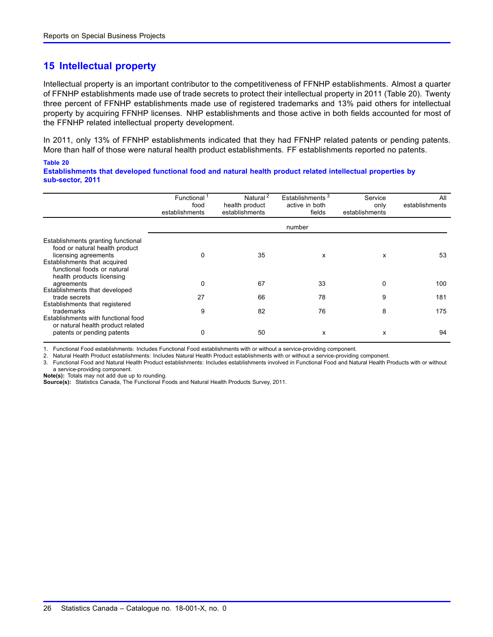### <span id="page-27-0"></span>**15 Intellectual property**

Intellectual property is an important contributor to the competitiveness of FFNHP establishments. Almost a quarter of FFNHP establishments made use of trade secrets to protect their intellectual property in 2011 (Table 20). Twenty three percent of FFNHP establishments made use of registered trademarks and 13% paid others for intellectual property by acquiring FFNHP licenses. NHP establishments and those active in both fields accounted for most of the FFNHP related intellectual property development.

In 2011, only 13% of FFNHP establishments indicated that they had FFNHP related patents or pending patents. More than half of those were natural health product establishments. FF establishments reported no patents.

#### **Table 20**

**Establishments that developed functional food and natural health product related intellectual properties by sub-sector, 2011**

|                                                                                                                                                                                          | Functional<br>food<br>establishments | Natural <sup>2</sup><br>health product<br>establishments | Establishments <sup>3</sup><br>active in both<br>fields | Service<br>only<br>establishments | All<br>establishments |
|------------------------------------------------------------------------------------------------------------------------------------------------------------------------------------------|--------------------------------------|----------------------------------------------------------|---------------------------------------------------------|-----------------------------------|-----------------------|
|                                                                                                                                                                                          |                                      |                                                          | number                                                  |                                   |                       |
| Establishments granting functional<br>food or natural health product<br>licensing agreements<br>Establishments that acquired<br>functional foods or natural<br>health products licensing | 0                                    | 35                                                       | X                                                       | x                                 | 53                    |
| agreements                                                                                                                                                                               | 0                                    | 67                                                       | 33                                                      | 0                                 | 100                   |
| Establishments that developed<br>trade secrets<br>Establishments that registered                                                                                                         | 27                                   | 66                                                       | 78                                                      | 9                                 | 181                   |
| trademarks<br>Establishments with functional food<br>or natural health product related                                                                                                   | 9                                    | 82                                                       | 76                                                      | 8                                 | 175                   |
| patents or pending patents                                                                                                                                                               | 0                                    | 50                                                       | X                                                       | x                                 | 94                    |

1. Functional Food establishments: Includes Functional Food establishments with or without a service-providing component.

2. Natural Health Product establishments: Includes Natural Health Product establishments with or without a service-providing component.

3. Functional Food and Natural Health Product establishments: Includes establishments involved in Functional Food and Natural Health Products with or without a service-providing component.

**Note(s):** Totals may not add due up to rounding.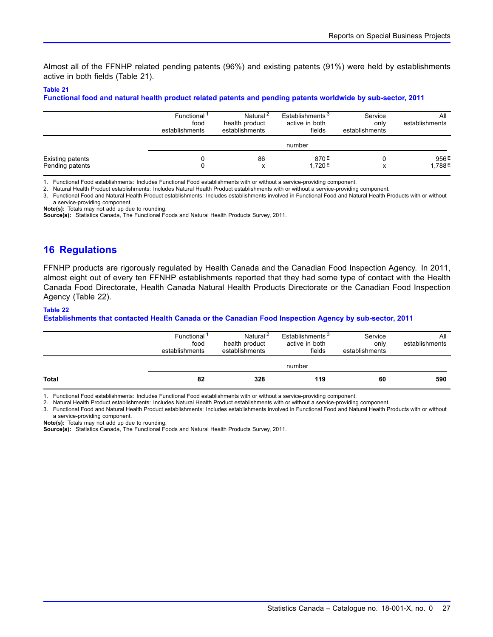<span id="page-28-0"></span>Almost all of the FFNHP related pending patents (96%) and existing patents (91%) were held by establishments active in both fields (Table 21).

#### **Table 21**

**Functional food and natural health product related patents and pending patents worldwide by sub-sector, 2011**

|                                            | Functional <sup>1</sup><br>food<br>establishments | Natural <sup>2</sup><br>health product<br>establishments | Establishments <sup>3</sup><br>active in both<br>fields | Service<br>only<br>establishments | All<br>establishments |
|--------------------------------------------|---------------------------------------------------|----------------------------------------------------------|---------------------------------------------------------|-----------------------------------|-----------------------|
|                                            |                                                   |                                                          | number                                                  |                                   |                       |
| <b>Existing patents</b><br>Pending patents |                                                   | 86<br>x                                                  | 870E<br>1.720E                                          | x                                 | 956E<br>1,788E        |

1. Functional Food establishments: Includes Functional Food establishments with or without a service-providing component.

2. Natural Health Product establishments: Includes Natural Health Product establishments with or without a service-providing component.

3. Functional Food and Natural Health Product establishments: Includes establishments involved in Functional Food and Natural Health Products with or without a service-providing component.

**Note(s):** Totals may not add up due to rounding. **Source(s):** Statistics Canada, The Functional Foods and Natural Health Products Survey, 2011.

### **16 Regulations**

FFNHP products are rigorously regulated by Health Canada and the Canadian Food Inspection Agency. In 2011, almost eight out of every ten FFNHP establishments reported that they had some type of contact with the Health Canada Food Directorate, Health Canada Natural Health Products Directorate or the Canadian Food Inspection Agency (Table 22).

#### **Table 22**

**Establishments that contacted Health Canada or the Canadian Food Inspection Agency by sub-sector, 2011**

|              | Functional <sup>1</sup><br>food<br>establishments | Natural <sup>2</sup><br>health product<br>establishments | Establishments <sup>3</sup><br>active in both<br>fields | Service<br>only<br>establishments | All<br>establishments |  |  |
|--------------|---------------------------------------------------|----------------------------------------------------------|---------------------------------------------------------|-----------------------------------|-----------------------|--|--|
|              | number                                            |                                                          |                                                         |                                   |                       |  |  |
| <b>Total</b> | 82                                                | 328                                                      | 119                                                     | 60                                | 590                   |  |  |
|              |                                                   |                                                          |                                                         |                                   |                       |  |  |

1. Functional Food establishments: Includes Functional Food establishments with or without a service-providing component.

2. Natural Health Product establishments: Includes Natural Health Product establishments with or without a service-providing component.

3. Functional Food and Natural Health Product establishments: Includes establishments involved in Functional Food and Natural Health Products with or without a service-providing component.

**Note(s):** Totals may not add up due to rounding.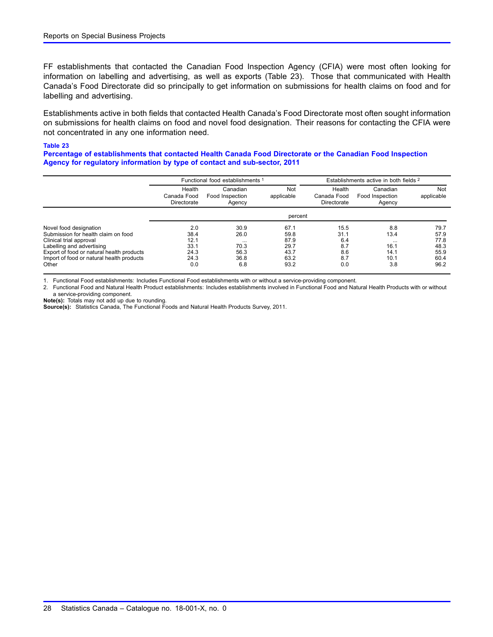FF establishments that contacted the Canadian Food Inspection Agency (CFIA) were most often looking for information on labelling and advertising, as well as exports (Table 23). Those that communicated with Health Canada's Food Directorate did so principally to get information on submissions for health claims on food and for labelling and advertising.

Establishments active in both fields that contacted Health Canada's Food Directorate most often sought information on submissions for health claims on food and novel food designation. Their reasons for contacting the CFIA were not concentrated in any one information need.

#### **Table 23**

**Percentage of establishments that contacted Health Canada Food Directorate or the Canadian Food Inspection Agency for regulatory information by type of contact and sub-sector, 2011**

|                                                                                                                                                                                                                          | Functional food establishments                     |                                                         |                                                      | Establishments active in both fields 2          |                                                        |                                                      |
|--------------------------------------------------------------------------------------------------------------------------------------------------------------------------------------------------------------------------|----------------------------------------------------|---------------------------------------------------------|------------------------------------------------------|-------------------------------------------------|--------------------------------------------------------|------------------------------------------------------|
|                                                                                                                                                                                                                          | Health<br>Canada Food<br>Directorate               | Canadian<br>Food Inspection<br>Agency                   | Not<br>applicable                                    | Health<br>Canada Food<br>Directorate            | Canadian<br>Food Inspection<br>Agency                  | Not<br>applicable                                    |
|                                                                                                                                                                                                                          |                                                    |                                                         | percent                                              |                                                 |                                                        |                                                      |
| Novel food designation<br>Submission for health claim on food<br>Clinical trial approval<br>Labelling and advertising<br>Export of food or natural health products<br>Import of food or natural health products<br>Other | 2.0<br>38.4<br>12.1<br>33.1<br>24.3<br>24.3<br>0.0 | 30.9<br>26.0<br>$\cdots$<br>70.3<br>56.3<br>36.8<br>6.8 | 67.1<br>59.8<br>87.9<br>29.7<br>43.7<br>63.2<br>93.2 | 15.5<br>31.1<br>6.4<br>8.7<br>8.6<br>8.7<br>0.0 | 8.8<br>13.4<br>$\cdots$<br>16.1<br>14.1<br>10.1<br>3.8 | 79.7<br>57.9<br>77.8<br>48.3<br>55.9<br>60.4<br>96.2 |

1. Functional Food establishments: Includes Functional Food establishments with or without a service-providing component.

2. Functional Food and Natural Health Product establishments: Includes establishments involved in Functional Food and Natural Health Products with or without a service-providing component.

**Note(s):** Totals may not add up due to rounding. **Source(s):** Statistics Canada, The Functional Foods and Natural Health Products Survey, 2011.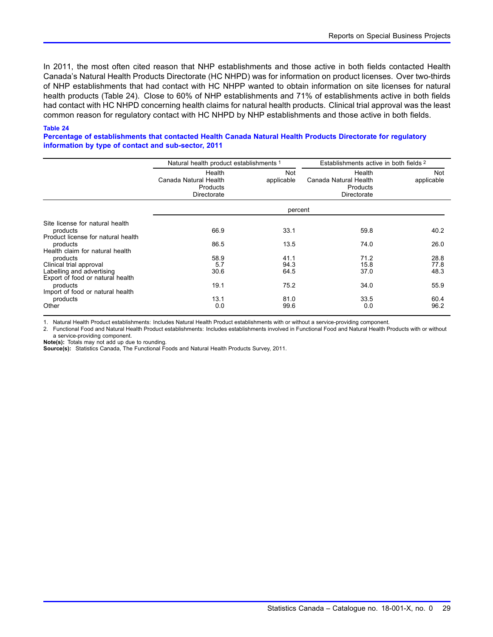In 2011, the most often cited reason that NHP establishments and those active in both fields contacted Health Canada's Natural Health Products Directorate (HC NHPD) was for information on product licenses. Over two-thirds of NHP establishments that had contact with HC NHPP wanted to obtain information on site licenses for natural health products (Table 24). Close to 60% of NHP establishments and 71% of establishments active in both fields had contact with HC NHPD concerning health claims for natural health products. Clinical trial approval was the least common reason for regulatory contact with HC NHPD by NHP establishments and those active in both fields.

#### **Table 24**

**Percentage of establishments that contacted Health Canada Natural Health Products Directorate for regulatory information by type of contact and sub-sector, 2011**

|                                                                                   | Natural health product establishments 1                    |                          | Establishments active in both fields 2                     |                          |
|-----------------------------------------------------------------------------------|------------------------------------------------------------|--------------------------|------------------------------------------------------------|--------------------------|
|                                                                                   | Health<br>Canada Natural Health<br>Products<br>Directorate | <b>Not</b><br>applicable | Health<br>Canada Natural Health<br>Products<br>Directorate | <b>Not</b><br>applicable |
|                                                                                   |                                                            | percent                  |                                                            |                          |
| Site license for natural health<br>products                                       | 66.9                                                       | 33.1                     | 59.8                                                       | 40.2                     |
| Product license for natural health<br>products<br>Health claim for natural health | 86.5                                                       | 13.5                     | 74.0                                                       | 26.0                     |
| products<br>Clinical trial approval<br>Labelling and advertising                  | 58.9<br>5.7<br>30.6                                        | 41.1<br>94.3<br>64.5     | 71.2<br>15.8<br>37.0                                       | 28.8<br>77.8<br>48.3     |
| Export of food or natural health<br>products<br>Import of food or natural health  | 19.1                                                       | 75.2                     | 34.0                                                       | 55.9                     |
| products<br>Other                                                                 | 13.1<br>0.0                                                | 81.0<br>99.6             | 33.5<br>0.0                                                | 60.4<br>96.2             |

1. Natural Health Product establishments: Includes Natural Health Product establishments with or without a service-providing component.

2. Functional Food and Natural Health Product establishments: Includes establishments involved in Functional Food and Natural Health Products with or without a service-providing component.

**Note(s):** Totals may not add up due to rounding.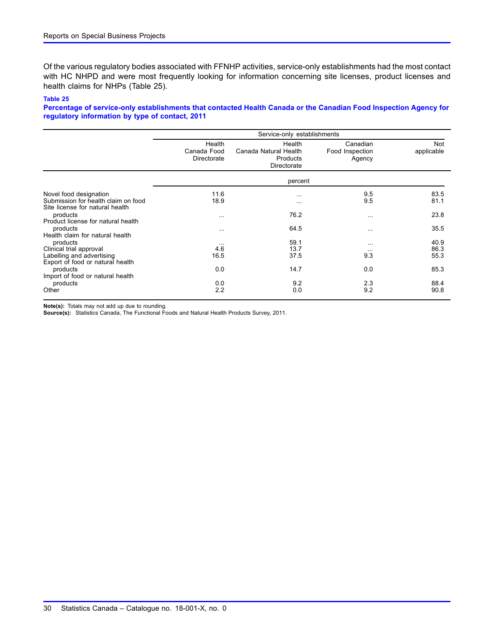Of the various regulatory bodies associated with FFNHP activities, service-only establishments had the most contact with HC NHPD and were most frequently looking for information concerning site licenses, product licenses and health claims for NHPs (Table 25).

#### **Table 25**

**Percentage of service-only establishments that contacted Health Canada or the Canadian Food Inspection Agency for regulatory information by type of contact, 2011**

|                                                                                                      | Service-only establishments          |                                                            |                                       |                          |  |  |
|------------------------------------------------------------------------------------------------------|--------------------------------------|------------------------------------------------------------|---------------------------------------|--------------------------|--|--|
|                                                                                                      | Health<br>Canada Food<br>Directorate | Health<br>Canada Natural Health<br>Products<br>Directorate | Canadian<br>Food Inspection<br>Agency | <b>Not</b><br>applicable |  |  |
|                                                                                                      |                                      | percent                                                    |                                       |                          |  |  |
| Novel food designation<br>Submission for health claim on food<br>Site license for natural health     | 11.6<br>18.9                         | $\cdots$<br>$\cdots$                                       | 9.5<br>9.5                            | 83.5<br>81.1             |  |  |
| products<br>Product license for natural health                                                       | $\cdots$                             | 76.2                                                       | $\cdots$                              | 23.8                     |  |  |
| products<br>Health claim for natural health                                                          | $\cdots$                             | 64.5                                                       | $\cdots$                              | 35.5                     |  |  |
| products<br>Clinical trial approval<br>Labelling and advertising<br>Export of food or natural health | $\cdots$<br>4.6<br>16.5              | 59.1<br>13.7<br>37.5                                       | $\cdots$<br>$\cdots$<br>9.3           | 40.9<br>86.3<br>55.3     |  |  |
| products<br>Import of food or natural health                                                         | 0.0                                  | 14.7                                                       | 0.0                                   | 85.3                     |  |  |
| products<br>Other                                                                                    | 0.0<br>2.2                           | 9.2<br>0.0                                                 | 2.3<br>9.2                            | 88.4<br>90.8             |  |  |

**Note(s):** Totals may not add up due to rounding.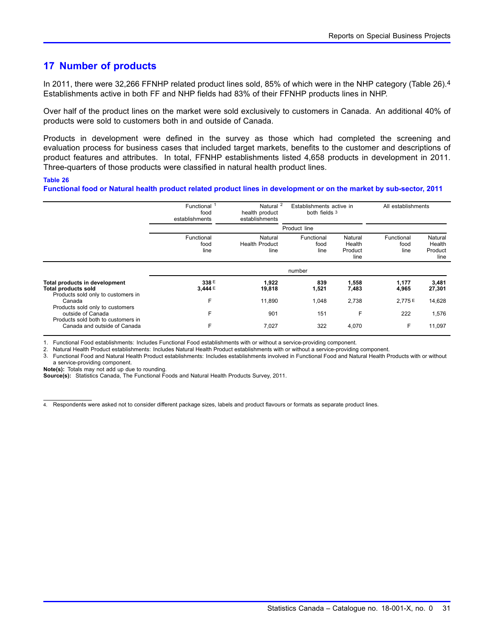### <span id="page-32-0"></span>**17 Number of products**

In 2011, there were 32,266 FFNHP related product lines sold, 85% of which were in the NHP category (Table 26).4 Establishments active in both FF and NHP fields had 83% of their FFNHP products lines in NHP.

Over half of the product lines on the market were sold exclusively to customers in Canada. An additional 40% of products were sold to customers both in and outside of Canada.

Products in development were defined in the survey as those which had completed the screening and evaluation process for business cases that included target markets, benefits to the customer and descriptions of product features and attributes. In total, FFNHP establishments listed 4,658 products in development in 2011. Three-quarters of those products were classified in natural health product lines.

#### **Table 26**

**Functional food or Natural health product related product lines in development or on the market by sub-sector, 2011**

|                                                                                                   | Functional<br>food<br>establishments | Natural <sup>2</sup><br>health product<br>establishments | Establishments active in<br>both fields 3 |                                      | All establishments         |                                      |
|---------------------------------------------------------------------------------------------------|--------------------------------------|----------------------------------------------------------|-------------------------------------------|--------------------------------------|----------------------------|--------------------------------------|
|                                                                                                   | Product line                         |                                                          |                                           |                                      |                            |                                      |
|                                                                                                   | Functional<br>food<br>line           | Natural<br><b>Health Product</b><br>line                 | Functional<br>food<br>line                | Natural<br>Health<br>Product<br>line | Functional<br>food<br>line | Natural<br>Health<br>Product<br>line |
|                                                                                                   |                                      |                                                          | number                                    |                                      |                            |                                      |
| Total products in development<br><b>Total products sold</b><br>Products sold only to customers in | 338 E<br>3,444 E                     | 1,922<br>19,818                                          | 839<br>1,521                              | 1,558<br>7,483                       | 1,177<br>4,965             | 3,481<br>27,301                      |
| Canada<br>Products sold only to customers                                                         | F                                    | 11,890                                                   | 1,048                                     | 2,738                                | 2.775E                     | 14,628                               |
| outside of Canada<br>Products sold both to customers in                                           | F                                    | 901                                                      | 151                                       | F                                    | 222                        | 1,576                                |
| Canada and outside of Canada                                                                      | F                                    | 7,027                                                    | 322                                       | 4,070                                | F                          | 11,097                               |

1. Functional Food establishments: Includes Functional Food establishments with or without a service-providing component.

2. Natural Health Product establishments: Includes Natural Health Product establishments with or without a service-providing component.

3. Functional Food and Natural Health Product establishments: Includes establishments involved in Functional Food and Natural Health Products with or without a service-providing component.

**Note(s):** Totals may not add up due to rounding.

**Source(s):** Statistics Canada, The Functional Foods and Natural Health Products Survey, 2011.

4. Respondents were asked not to consider different package sizes, labels and product flavours or formats as separate product lines.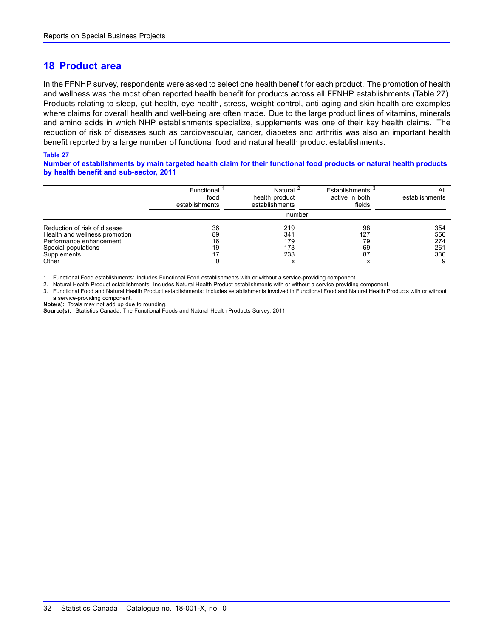### <span id="page-33-0"></span>**18 Product area**

In the FFNHP survey, respondents were asked to select one health benefit for each product. The promotion of health and wellness was the most often reported health benefit for products across all FFNHP establishments (Table 27). Products relating to sleep, gut health, eye health, stress, weight control, anti-aging and skin health are examples where claims for overall health and well-being are often made. Due to the large product lines of vitamins, minerals and amino acids in which NHP establishments specialize, supplements was one of their key health claims. The reduction of risk of diseases such as cardiovascular, cancer, diabetes and arthritis was also an important health benefit reported by a large number of functional food and natural health product establishments.

#### **Table 27**

**Number of establishments by main targeted health claim for their functional food products or natural health products by health benefit and sub-sector, 2011**

|                               | Functional <sup>1</sup><br>food<br>establishments | Natural <sup>2</sup><br>health product<br>establishments | Establishments <sup>3</sup><br>active in both<br>fields | All<br>establishments |
|-------------------------------|---------------------------------------------------|----------------------------------------------------------|---------------------------------------------------------|-----------------------|
|                               |                                                   |                                                          |                                                         |                       |
| Reduction of risk of disease  | 36                                                | 219                                                      | 98                                                      | 354                   |
| Health and wellness promotion | 89                                                | 341                                                      | 127                                                     | 556                   |
| Performance enhancement       | 16                                                | 179                                                      | 79                                                      | 274                   |
| Special populations           | 19                                                | 173                                                      | 69                                                      | 261                   |
| Supplements                   |                                                   | 233                                                      | 87                                                      | 336                   |
| Other                         |                                                   | х                                                        | x                                                       | 9                     |

1. Functional Food establishments: Includes Functional Food establishments with or without a service-providing component.

2. Natural Health Product establishments: Includes Natural Health Product establishments with or without a service-providing component.

3. Functional Food and Natural Health Product establishments: Includes establishments involved in Functional Food and Natural Health Products with or without a service-providing component.

**Note(s):** Totals may not add up due to rounding.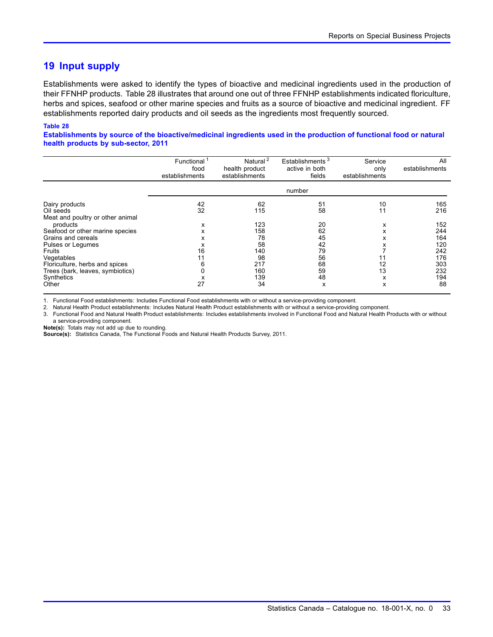### <span id="page-34-0"></span>**19 Input supply**

Establishments were asked to identify the types of bioactive and medicinal ingredients used in the production of their FFNHP products. Table 28 illustrates that around one out of three FFNHP establishments indicated floriculture, herbs and spices, seafood or other marine species and fruits as a source of bioactive and medicinal ingredient. FF establishments reported dairy products and oil seeds as the ingredients most frequently sourced.

#### **Table 28**

**Establishments by source of the bioactive/medicinal ingredients used in the production of functional food or natural health products by sub-sector, 2011**

|                                                                                                          | Functional<br>food<br>establishments | Natural <sup>2</sup><br>health product<br>establishments | Establishments <sup>3</sup><br>active in both<br>fields | Service<br>only<br>establishments | All<br>establishments           |
|----------------------------------------------------------------------------------------------------------|--------------------------------------|----------------------------------------------------------|---------------------------------------------------------|-----------------------------------|---------------------------------|
|                                                                                                          |                                      |                                                          | number                                                  |                                   |                                 |
| Dairy products<br>Oil seeds<br>Meat and poultry or other animal                                          | 42<br>32                             | 62<br>115                                                | 51<br>58                                                | 10<br>11                          | 165<br>216                      |
| products<br>Seafood or other marine species<br>Grains and cereals<br>Pulses or Legumes                   | x<br>х<br>х<br>х                     | 123<br>158<br>78<br>58                                   | 20<br>62<br>45<br>42                                    | х<br>x<br>x<br>х                  | 152<br>244<br>164<br>120        |
| Fruits<br>Vegetables<br>Floriculture, herbs and spices<br>Trees (bark, leaves, symbiotics)<br>Synthetics | 16<br>11                             | 140<br>98<br>217<br>160<br>139                           | 79<br>56<br>68<br>59<br>48                              | 11<br>12<br>13<br>x               | 242<br>176<br>303<br>232<br>194 |
| Other                                                                                                    | 27                                   | 34                                                       | x                                                       | x                                 | 88                              |

1. Functional Food establishments: Includes Functional Food establishments with or without a service-providing component.

2. Natural Health Product establishments: Includes Natural Health Product establishments with or without a service-providing component.

3. Functional Food and Natural Health Product establishments: Includes establishments involved in Functional Food and Natural Health Products with or without a service-providing component.

**Note(s):** Totals may not add up due to rounding.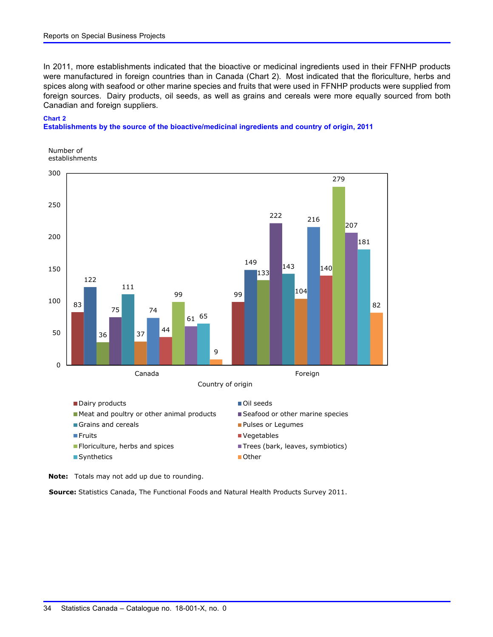In 2011, more establishments indicated that the bioactive or medicinal ingredients used in their FFNHP products were manufactured in foreign countries than in Canada (Chart 2). Most indicated that the floriculture, herbs and spices along with seafood or other marine species and fruits that were used in FFNHP products were supplied from foreign sources. Dairy products, oil seeds, as well as grains and cereals were more equally sourced from both Canadian and foreign suppliers.

#### **Chart 2**

**Establishments by the source of the bioactive/medicinal ingredients and country of origin, 2011**

![](_page_35_Figure_4.jpeg)

![](_page_35_Figure_5.jpeg)

- $\blacksquare$  Grains and cereals
- 
- 
- Synthetics No. 2012 12:00:00 12:00:00 12:00:00 12:00:00 12:00:00 12:00:00 12:00:00 12:00:00 12:00:00 12:00:00 12:00:00 12:00:00 12:00:00 12:00:00 12:00:00 12:00:00 12:00:00 12:00:00 12:00:00 12:00:00 12:00:00 12:00:00 1
- **Pulses or Legumes**
- **Finding Section 2** The Vegetables
- Floriculture, herbs and spices Trees (bark, leaves, symbiotics)
	-

**Note:** Totals may not add up due to rounding.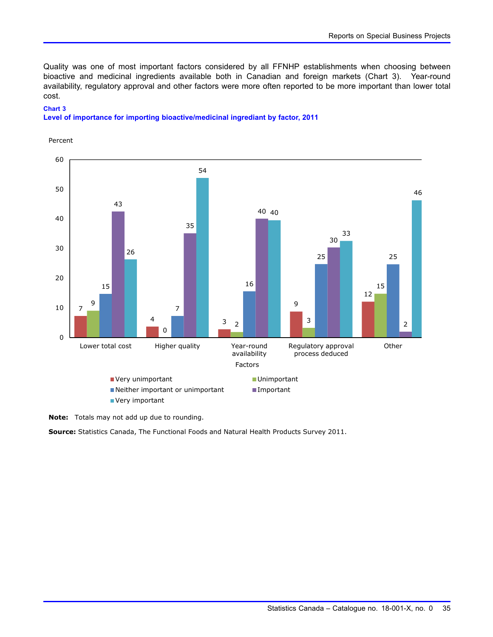Quality was one of most important factors considered by all FFNHP establishments when choosing between bioactive and medicinal ingredients available both in Canadian and foreign markets (Chart 3). Year-round availability, regulatory approval and other factors were more often reported to be more important than lower total cost.

#### **Chart 3**

#### **Level of importance for importing bioactive/medicinal ingrediant by factor, 2011**

![](_page_36_Figure_4.jpeg)

Percent

**Note:** Totals may not add up due to rounding.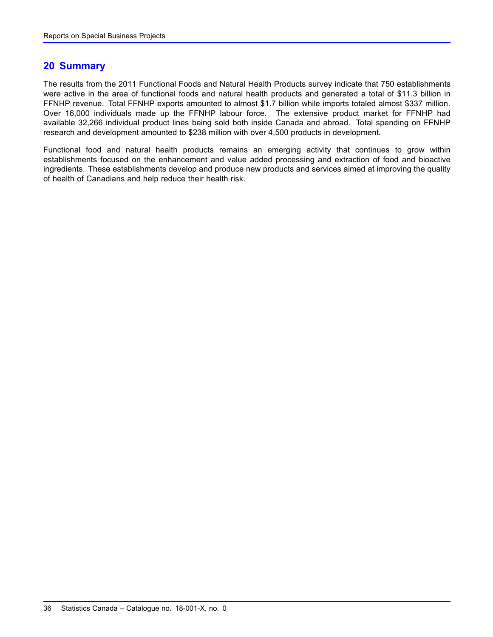### <span id="page-37-0"></span>**20 Summary**

The results from the 2011 Functional Foods and Natural Health Products survey indicate that 750 establishments were active in the area of functional foods and natural health products and generated a total of \$11.3 billion in FFNHP revenue. Total FFNHP exports amounted to almost \$1.7 billion while imports totaled almost \$337 million. Over 16,000 individuals made up the FFNHP labour force. The extensive product market for FFNHP had available 32,266 individual product lines being sold both inside Canada and abroad. Total spending on FFNHP research and development amounted to \$238 million with over 4,500 products in development.

Functional food and natural health products remains an emerging activity that continues to grow within establishments focused on the enhancement and value added processing and extraction of food and bioactive ingredients. These establishments develop and produce new products and services aimed at improving the quality of health of Canadians and help reduce their health risk.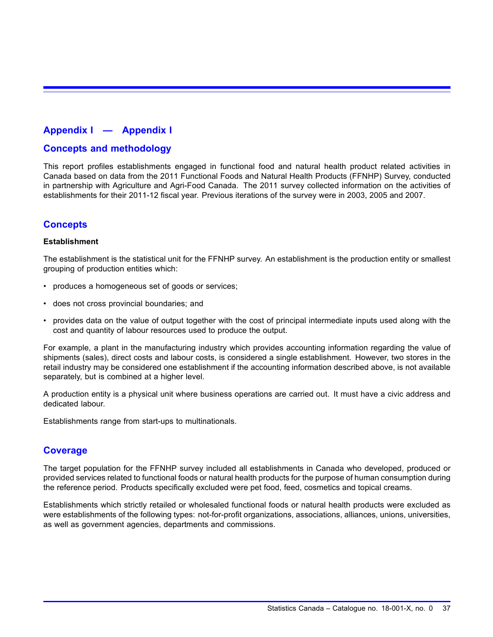### <span id="page-38-0"></span>**Appendix I — Appendix I**

### **Concepts and methodology**

This report profiles establishments engaged in functional food and natural health product related activities in Canada based on data from the 2011 Functional Foods and Natural Health Products (FFNHP) Survey, conducted in partnership with Agriculture and Agri-Food Canada. The 2011 survey collected information on the activities of establishments for their 2011-12 fiscal year. Previous iterations of the survey were in 2003, 2005 and 2007.

### **Concepts**

### **Establishment**

The establishment is the statistical unit for the FFNHP survey. An establishment is the production entity or smallest grouping of production entities which:

- produces a homogeneous set of goods or services;
- does not cross provincial boundaries; and
- provides data on the value of output together with the cost of principal intermediate inputs used along with the cost and quantity of labour resources used to produce the output.

For example, a plant in the manufacturing industry which provides accounting information regarding the value of shipments (sales), direct costs and labour costs, is considered a single establishment. However, two stores in the retail industry may be considered one establishment if the accounting information described above, is not available separately, but is combined at a higher level.

A production entity is a physical unit where business operations are carried out. It must have a civic address and dedicated labour.

Establishments range from start-ups to multinationals.

### **Coverage**

The target population for the FFNHP survey included all establishments in Canada who developed, produced or provided services related to functional foods or natural health products for the purpose of human consumption during the reference period. Products specifically excluded were pet food, feed, cosmetics and topical creams.

Establishments which strictly retailed or wholesaled functional foods or natural health products were excluded as were establishments of the following types: not-for-profit organizations, associations, alliances, unions, universities, as well as government agencies, departments and commissions.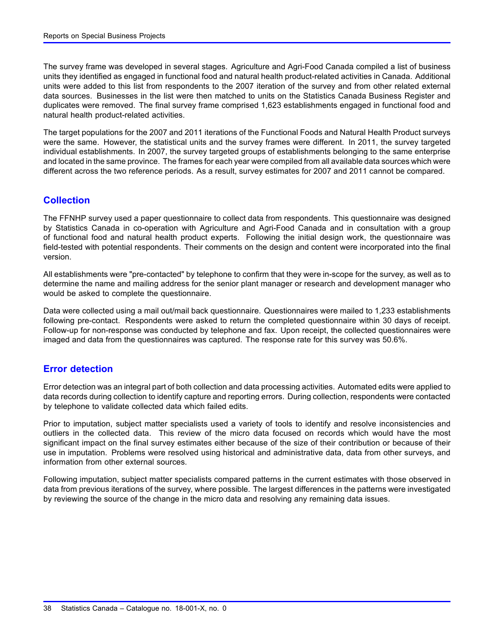The survey frame was developed in several stages. Agriculture and Agri-Food Canada compiled a list of business units they identified as engaged in functional food and natural health product-related activities in Canada. Additional units were added to this list from respondents to the 2007 iteration of the survey and from other related external data sources. Businesses in the list were then matched to units on the Statistics Canada Business Register and duplicates were removed. The final survey frame comprised 1,623 establishments engaged in functional food and natural health product-related activities.

The target populations for the 2007 and 2011 iterations of the Functional Foods and Natural Health Product surveys were the same. However, the statistical units and the survey frames were different. In 2011, the survey targeted individual establishments. In 2007, the survey targeted groups of establishments belonging to the same enterprise and located in the same province. The frames for each year were compiled from all available data sources which were different across the two reference periods. As a result, survey estimates for 2007 and 2011 cannot be compared.

### **Collection**

The FFNHP survey used a paper questionnaire to collect data from respondents. This questionnaire was designed by Statistics Canada in co-operation with Agriculture and Agri-Food Canada and in consultation with a group of functional food and natural health product experts. Following the initial design work, the questionnaire was field-tested with potential respondents. Their comments on the design and content were incorporated into the final version.

All establishments were "pre-contacted" by telephone to confirm that they were in-scope for the survey, as well as to determine the name and mailing address for the senior plant manager or research and development manager who would be asked to complete the questionnaire.

Data were collected using a mail out/mail back questionnaire. Questionnaires were mailed to 1,233 establishments following pre-contact. Respondents were asked to return the completed questionnaire within 30 days of receipt. Follow-up for non-response was conducted by telephone and fax. Upon receipt, the collected questionnaires were imaged and data from the questionnaires was captured. The response rate for this survey was 50.6%.

### **Error detection**

Error detection was an integral part of both collection and data processing activities. Automated edits were applied to data records during collection to identify capture and reporting errors. During collection, respondents were contacted by telephone to validate collected data which failed edits.

Prior to imputation, subject matter specialists used a variety of tools to identify and resolve inconsistencies and outliers in the collected data. This review of the micro data focused on records which would have the most significant impact on the final survey estimates either because of the size of their contribution or because of their use in imputation. Problems were resolved using historical and administrative data, data from other surveys, and information from other external sources.

Following imputation, subject matter specialists compared patterns in the current estimates with those observed in data from previous iterations of the survey, where possible. The largest differences in the patterns were investigated by reviewing the source of the change in the micro data and resolving any remaining data issues.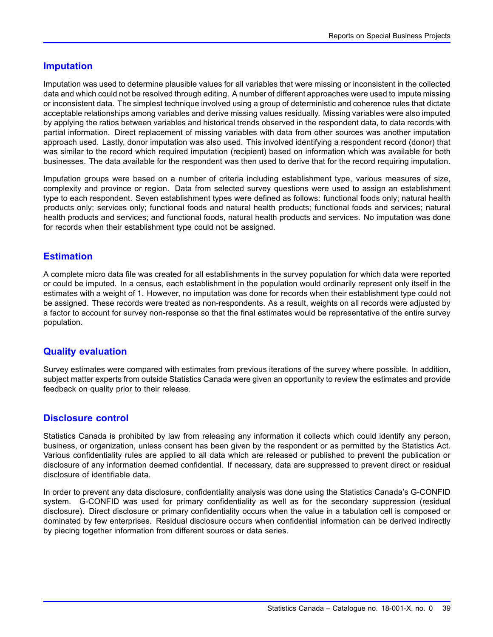### **Imputation**

Imputation was used to determine plausible values for all variables that were missing or inconsistent in the collected data and which could not be resolved through editing. A number of different approaches were used to impute missing or inconsistent data. The simplest technique involved using a group of deterministic and coherence rules that dictate acceptable relationships among variables and derive missing values residually. Missing variables were also imputed by applying the ratios between variables and historical trends observed in the respondent data, to data records with partial information. Direct replacement of missing variables with data from other sources was another imputation approach used. Lastly, donor imputation was also used. This involved identifying a respondent record (donor) that was similar to the record which required imputation (recipient) based on information which was available for both businesses. The data available for the respondent was then used to derive that for the record requiring imputation.

Imputation groups were based on a number of criteria including establishment type, various measures of size, complexity and province or region. Data from selected survey questions were used to assign an establishment type to each respondent. Seven establishment types were defined as follows: functional foods only; natural health products only; services only; functional foods and natural health products; functional foods and services; natural health products and services; and functional foods, natural health products and services. No imputation was done for records when their establishment type could not be assigned.

### **Estimation**

A complete micro data file was created for all establishments in the survey population for which data were reported or could be imputed. In a census, each establishment in the population would ordinarily represent only itself in the estimates with a weight of 1. However, no imputation was done for records when their establishment type could not be assigned. These records were treated as non-respondents. As a result, weights on all records were adjusted by a factor to account for survey non-response so that the final estimates would be representative of the entire survey population.

### **Quality evaluation**

Survey estimates were compared with estimates from previous iterations of the survey where possible. In addition, subject matter experts from outside Statistics Canada were given an opportunity to review the estimates and provide feedback on quality prior to their release.

### **Disclosure control**

Statistics Canada is prohibited by law from releasing any information it collects which could identify any person, business, or organization, unless consent has been given by the respondent or as permitted by the Statistics Act. Various confidentiality rules are applied to all data which are released or published to prevent the publication or disclosure of any information deemed confidential. If necessary, data are suppressed to prevent direct or residual disclosure of identifiable data.

In order to prevent any data disclosure, confidentiality analysis was done using the Statistics Canada's G-CONFID system. G-CONFID was used for primary confidentiality as well as for the secondary suppression (residual disclosure). Direct disclosure or primary confidentiality occurs when the value in a tabulation cell is composed or dominated by few enterprises. Residual disclosure occurs when confidential information can be derived indirectly by piecing together information from different sources or data series.